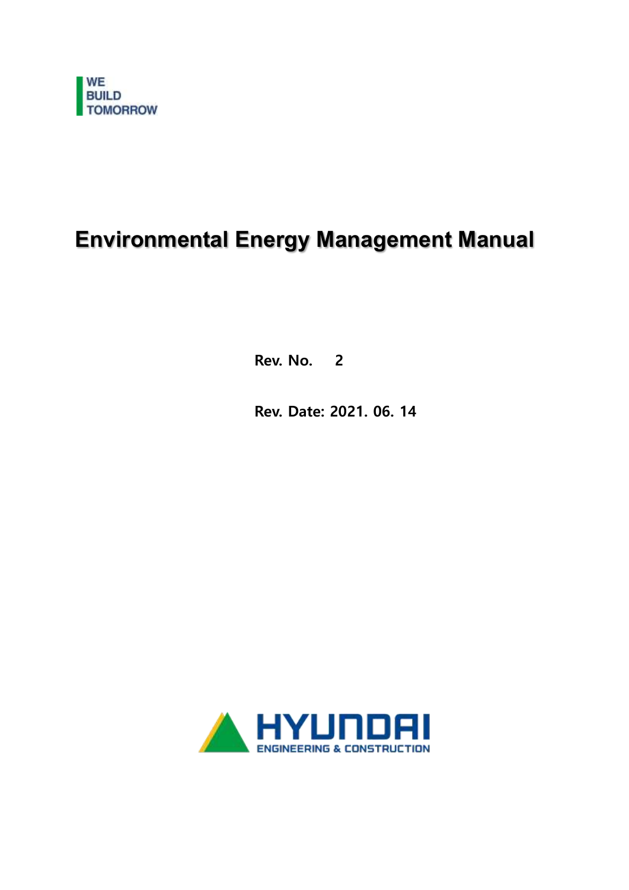

# **Environmental Energy Management Manual**

Rev. No. 2

Rev. Date: 2021. 06. 14

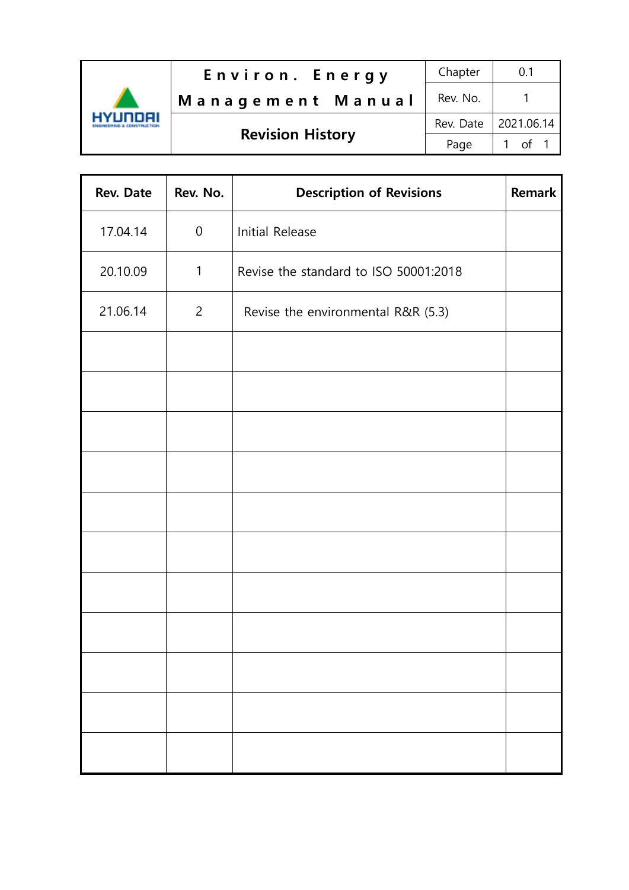

| Rev. Date | Rev. No.       | <b>Description of Revisions</b>       | <b>Remark</b> |
|-----------|----------------|---------------------------------------|---------------|
| 17.04.14  | $\mathbf 0$    | Initial Release                       |               |
| 20.10.09  | $\mathbf{1}$   | Revise the standard to ISO 50001:2018 |               |
| 21.06.14  | $\overline{2}$ | Revise the environmental R&R (5.3)    |               |
|           |                |                                       |               |
|           |                |                                       |               |
|           |                |                                       |               |
|           |                |                                       |               |
|           |                |                                       |               |
|           |                |                                       |               |
|           |                |                                       |               |
|           |                |                                       |               |
|           |                |                                       |               |
|           |                |                                       |               |
|           |                |                                       |               |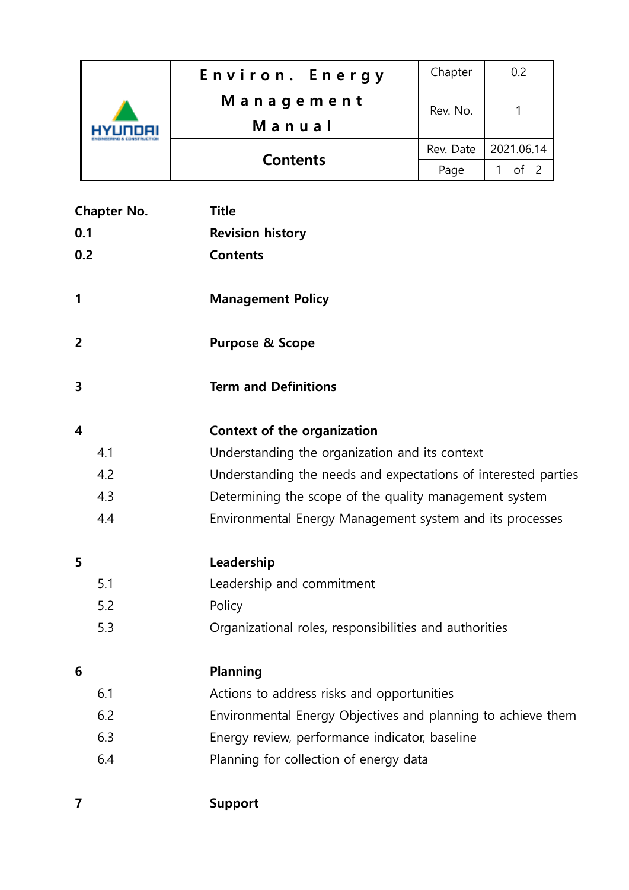|  | Environ. Energy | Chapter   | 0.2        |
|--|-----------------|-----------|------------|
|  | Management      | Rev. No.  |            |
|  | Manual          |           |            |
|  | <b>Contents</b> | Rev. Date | 2021.06.14 |
|  |                 | Page      |            |

|                         | <b>Chapter No.</b> | <b>Title</b>                                                   |
|-------------------------|--------------------|----------------------------------------------------------------|
| 0.1                     |                    | <b>Revision history</b>                                        |
| 0.2                     |                    | <b>Contents</b>                                                |
| 1                       |                    | <b>Management Policy</b>                                       |
| $\overline{2}$          |                    | <b>Purpose &amp; Scope</b>                                     |
| 3                       |                    | <b>Term and Definitions</b>                                    |
| $\overline{\mathbf{4}}$ |                    | Context of the organization                                    |
|                         | 4.1                | Understanding the organization and its context                 |
|                         | 4.2                | Understanding the needs and expectations of interested parties |
|                         | 4.3                | Determining the scope of the quality management system         |
|                         | 4.4                | Environmental Energy Management system and its processes       |
| 5                       |                    | Leadership                                                     |
|                         | 5.1                | Leadership and commitment                                      |
|                         | 5.2                | Policy                                                         |
|                         | 5.3                | Organizational roles, responsibilities and authorities         |
| 6                       |                    | <b>Planning</b>                                                |
|                         | 6.1                | Actions to address risks and opportunities                     |
|                         | 6.2                | Environmental Energy Objectives and planning to achieve them   |
|                         | 6.3                | Energy review, performance indicator, baseline                 |
|                         | 6.4                | Planning for collection of energy data                         |
|                         |                    |                                                                |

7 Support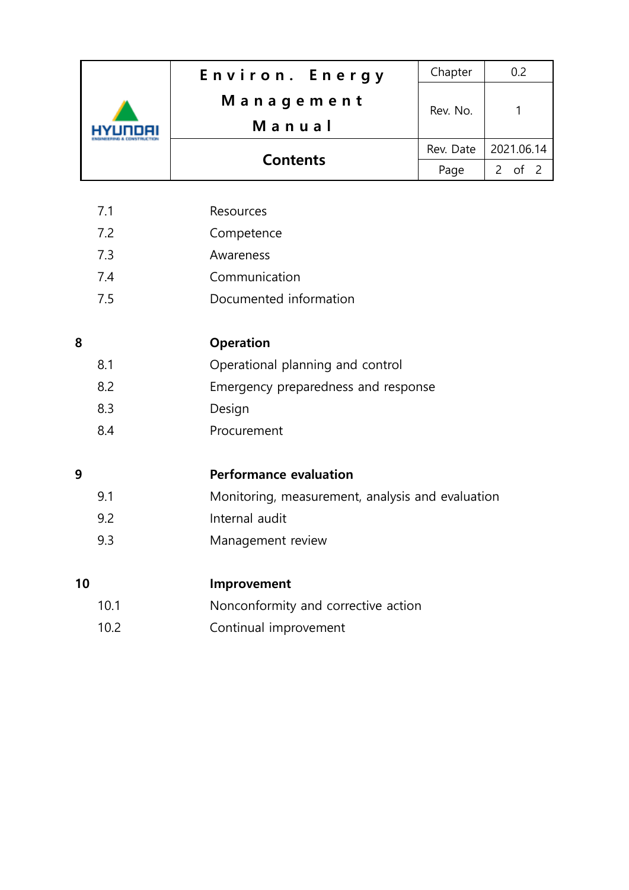|    |      | Environ. Energy                                  | Chapter   | 0.2                            |
|----|------|--------------------------------------------------|-----------|--------------------------------|
|    |      | Management                                       | Rev. No.  | 1                              |
|    |      | Manual                                           |           |                                |
|    |      | <b>Contents</b>                                  | Rev. Date | 2021.06.14                     |
|    |      |                                                  | Page      | of <sub>2</sub><br>$2^{\circ}$ |
|    |      |                                                  |           |                                |
|    | 7.1  | Resources                                        |           |                                |
|    | 7.2  | Competence                                       |           |                                |
|    | 7.3  | Awareness                                        |           |                                |
|    | 7.4  | Communication                                    |           |                                |
|    | 7.5  | Documented information                           |           |                                |
| 8  |      |                                                  |           |                                |
|    |      | <b>Operation</b>                                 |           |                                |
|    | 8.1  | Operational planning and control                 |           |                                |
|    | 8.2  | Emergency preparedness and response              |           |                                |
|    | 8.3  | Design                                           |           |                                |
|    | 8.4  | Procurement                                      |           |                                |
| 9  |      | <b>Performance evaluation</b>                    |           |                                |
|    | 9.1  | Monitoring, measurement, analysis and evaluation |           |                                |
|    | 9.2  | Internal audit                                   |           |                                |
|    | 9.3  | Management review                                |           |                                |
|    |      |                                                  |           |                                |
| 10 |      | Improvement                                      |           |                                |
|    | 10.1 | Nonconformity and corrective action              |           |                                |
|    | 10.2 | Continual improvement                            |           |                                |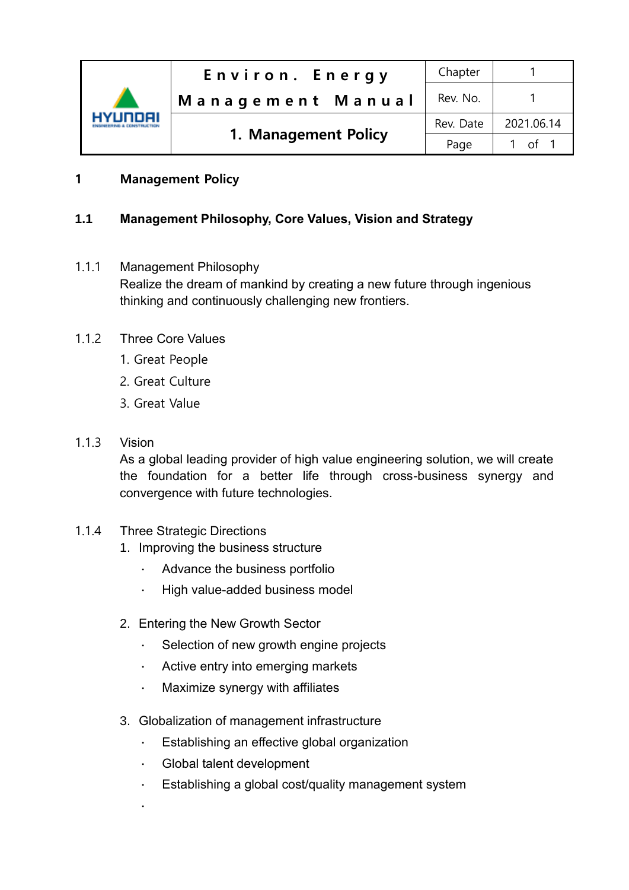

## 1 Management Policy

## **1.1 Management Philosophy, Core Values, Vision and Strategy**

- 1.1.1 Management Philosophy Realize the dream of mankind by creating a new future through ingenious thinking and continuously challenging new frontiers.
- 1.1.2 Three Core Values
	- 1. Great People
	- 2. Great Culture
	- 3. Great Value
- 1.1.3 Vision

As a global leading provider of high value engineering solution, we will create the foundation for a better life through cross-business synergy and convergence with future technologies.

- 1.1.4 Three Strategic Directions
	- 1. Improving the business structure
		- ∙ Advance the business portfolio
		- ∙ High value-added business model
	- 2. Entering the New Growth Sector
		- ∙ Selection of new growth engine projects
		- ∙ Active entry into emerging markets
		- ∙ Maximize synergy with affiliates
	- 3. Globalization of management infrastructure
		- ∙ Establishing an effective global organization
		- ∙ Global talent development
		- ∙ Establishing a global cost/quality management system
		- ∙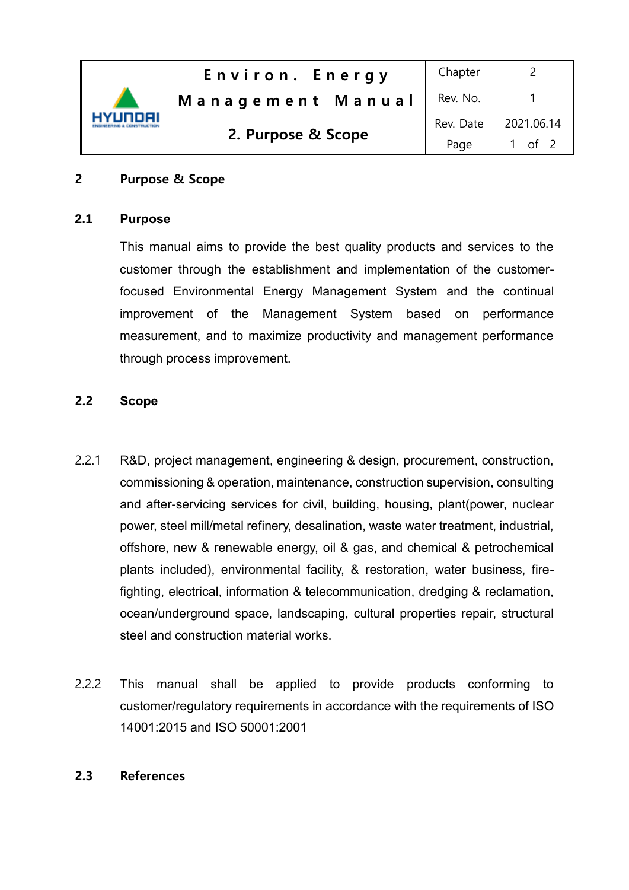| 'Unnell | Environ. Energy    | Chapter   |                 |
|---------|--------------------|-----------|-----------------|
|         | Management Manual  | Rev. No.  |                 |
|         | 2. Purpose & Scope | Rev. Date | 2021.06.14      |
|         |                    | Page      | of <sub>2</sub> |

#### 2 Purpose & Scope

#### **2.1 Purpose**

This manual aims to provide the best quality products and services to the customer through the establishment and implementation of the customerfocused Environmental Energy Management System and the continual improvement of the Management System based on performance measurement, and to maximize productivity and management performance through process improvement.

#### 2.2 **Scope**

- 2.2.1 R&D, project management, engineering & design, procurement, construction, commissioning & operation, maintenance, construction supervision, consulting and after-servicing services for civil, building, housing, plant(power, nuclear power, steel mill/metal refinery, desalination, waste water treatment, industrial, offshore, new & renewable energy, oil & gas, and chemical & petrochemical plants included), environmental facility, & restoration, water business, firefighting, electrical, information & telecommunication, dredging & reclamation, ocean/underground space, landscaping, cultural properties repair, structural steel and construction material works.
- 2.2.2 This manual shall be applied to provide products conforming to customer/regulatory requirements in accordance with the requirements of ISO 14001:2015 and ISO 50001:2001

#### 2.3 References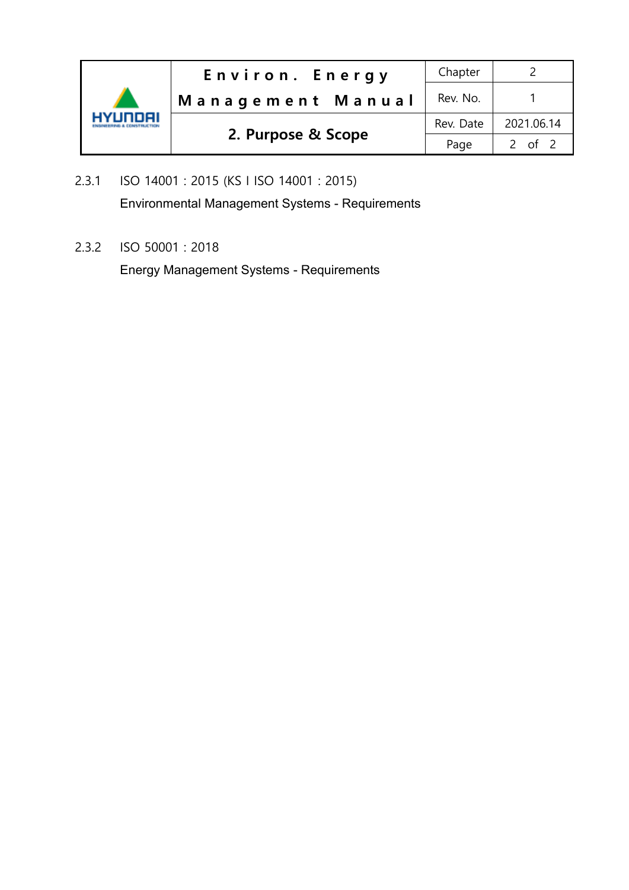| INNAI | Environ. Energy    | Chapter   |            |
|-------|--------------------|-----------|------------|
|       | Management Manual  | Rev. No.  |            |
|       | 2. Purpose & Scope | Rev. Date | 2021.06.14 |
|       |                    | Page      | 2 of 2     |

2.3.1 ISO 14001 : 2015 (KS I ISO 14001 : 2015) Environmental Management Systems - Requirements

2.3.2 ISO 50001 : 2018

Energy Management Systems - Requirements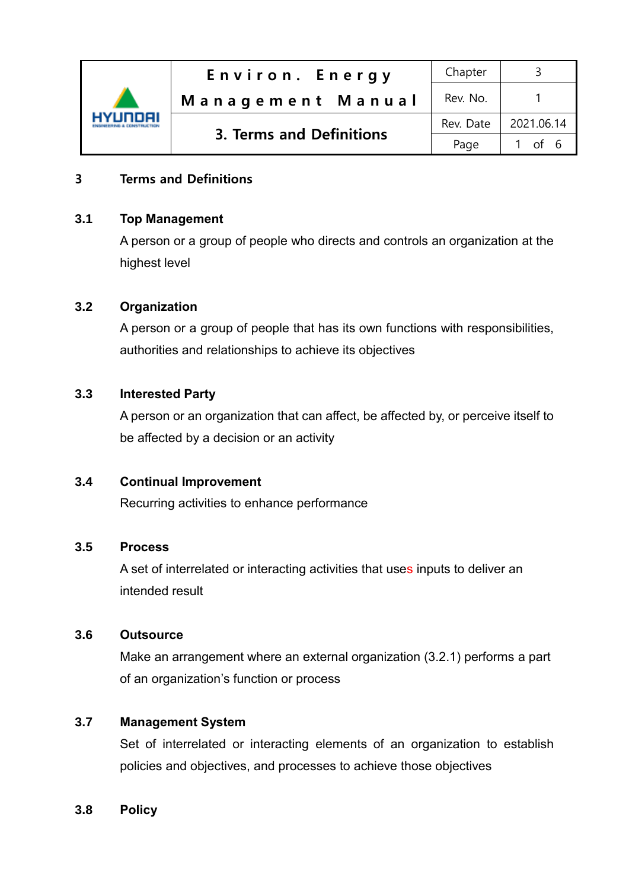

#### 3 Terms and Definitions

#### **3.1 Top Management**

A person or a group of people who directs and controls an organization at the highest level

#### **3.2 Organization**

A person or a group of people that has its own functions with responsibilities, authorities and relationships to achieve its objectives

#### **3.3 Interested Party**

A person or an organization that can affect, be affected by, or perceive itself to be affected by a decision or an activity

#### **3.4 Continual Improvement**

Recurring activities to enhance performance

#### **3.5 Process**

A set of interrelated or interacting activities that uses inputs to deliver an intended result

#### **3.6 Outsource**

Make an arrangement where an external organization (3.2.1) performs a part of an organization's function or process

#### **3.7 Management System**

Set of interrelated or interacting elements of an organization to establish policies and objectives, and processes to achieve those objectives

#### **3.8 Policy**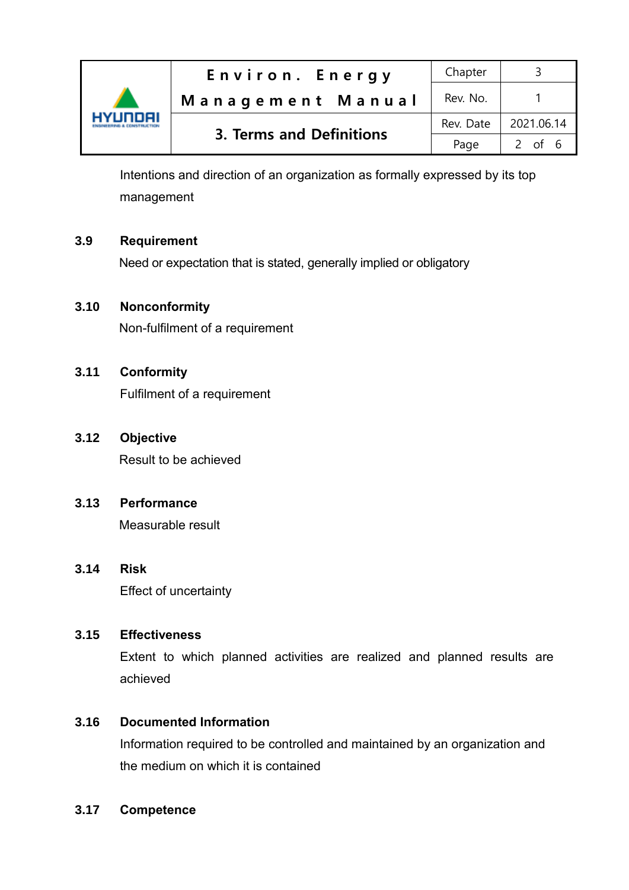

Intentions and direction of an organization as formally expressed by its top management

#### **3.9 Requirement**

Need or expectation that is stated, generally implied or obligatory

#### **3.10 Nonconformity**

Non-fulfilment of a requirement

#### **3.11 Conformity**

Fulfilment of a requirement

#### **3.12 Objective**

Result to be achieved

#### **3.13 Performance**

Measurable result

#### **3.14 Risk**

Effect of uncertainty

#### **3.15 Effectiveness**

Extent to which planned activities are realized and planned results are achieved

#### **3.16 Documented Information**

Information required to be controlled and maintained by an organization and the medium on which it is contained

#### **3.17 Competence**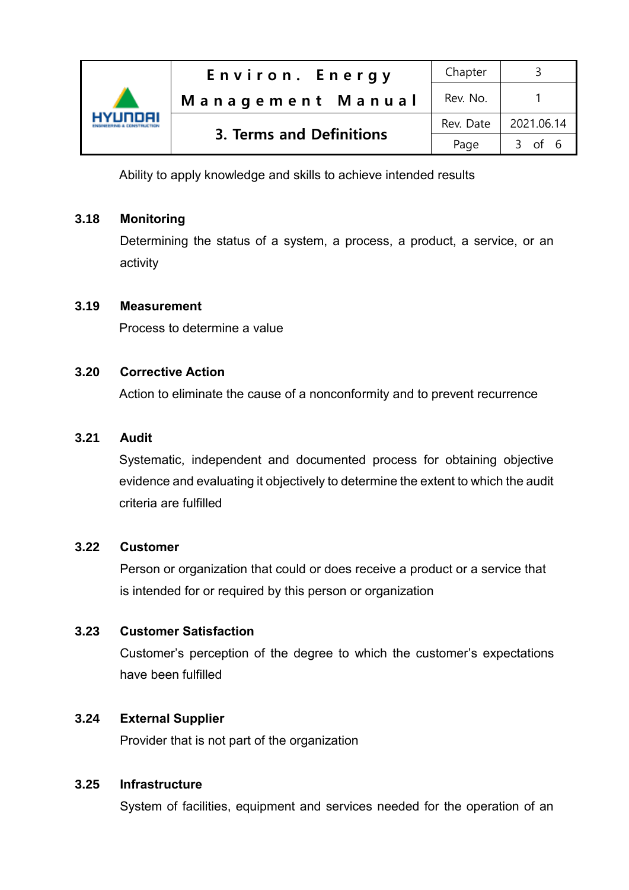

Ability to apply knowledge and skills to achieve intended results

#### **3.18 Monitoring**

Determining the status of a system, a process, a product, a service, or an activity

#### **3.19 Measurement**

Process to determine a value

#### **3.20 Corrective Action**

Action to eliminate the cause of a nonconformity and to prevent recurrence

#### **3.21 Audit**

 Systematic, independent and documented process for obtaining objective evidence and evaluating it objectively to determine the extent to which the audit criteria are fulfilled

#### **3.22 Customer**

Person or organization that could or does receive a product or a service that is intended for or required by this person or organization

#### **3.23 Customer Satisfaction**

Customer's perception of the degree to which the customer's expectations have been fulfilled

#### **3.24 External Supplier**

Provider that is not part of the organization

#### **3.25 Infrastructure**

System of facilities, equipment and services needed for the operation of an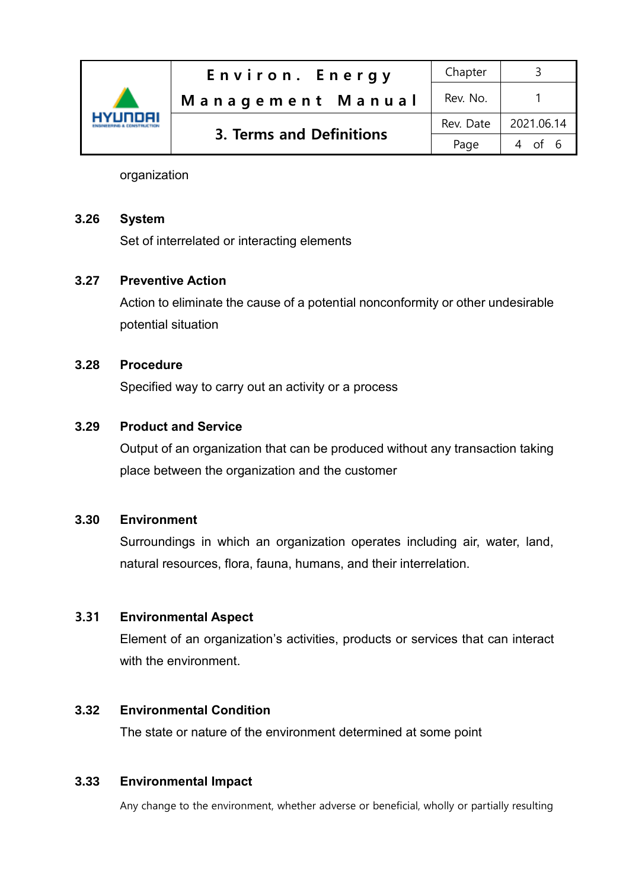| YUNNAI | Environ. Energy          | Chapter   |            |
|--------|--------------------------|-----------|------------|
|        | Management Manual        | Rev. No.  |            |
|        | 3. Terms and Definitions | Rev. Date | 2021.06.14 |
|        |                          | Page      | 4 of 6     |

organization

#### **3.26 System**

Set of interrelated or interacting elements

#### **3.27 Preventive Action**

Action to eliminate the cause of a potential nonconformity or other undesirable potential situation

#### **3.28 Procedure**

Specified way to carry out an activity or a process

## **3.29 Product and Service**

Output of an organization that can be produced without any transaction taking place between the organization and the customer

#### **3.30 Environment**

Surroundings in which an organization operates including air, water, land, natural resources, flora, fauna, humans, and their interrelation.

#### 3.31 **Environmental Aspect**

Element of an organization's activities, products or services that can interact with the environment.

#### **3.32 Environmental Condition**

The state or nature of the environment determined at some point

#### **3.33 Environmental Impact**

Any change to the environment, whether adverse or beneficial, wholly or partially resulting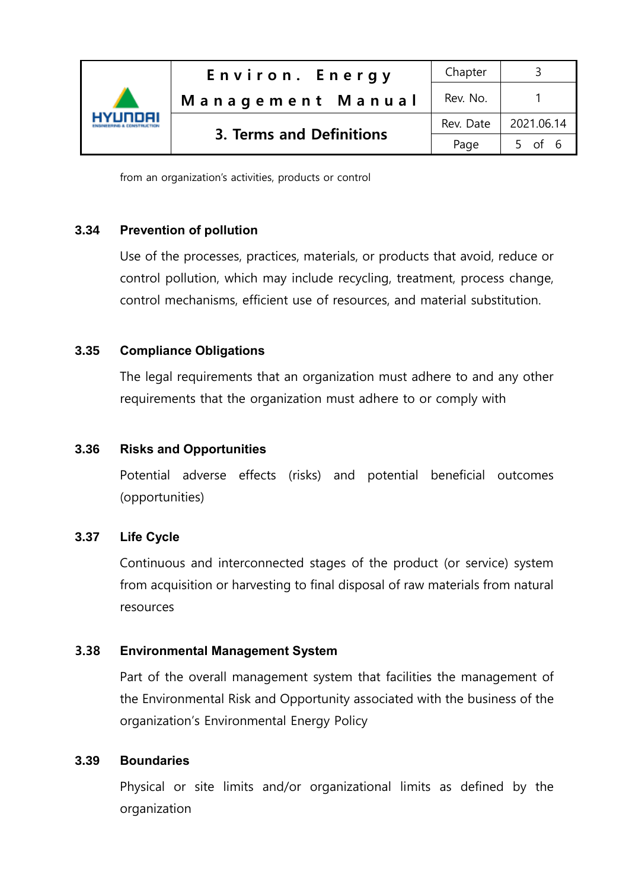

from an organization's activities, products or control

## **3.34 Prevention of pollution**

Use of the processes, practices, materials, or products that avoid, reduce or control pollution, which may include recycling, treatment, process change, control mechanisms, efficient use of resources, and material substitution.

## **3.35 Compliance Obligations**

The legal requirements that an organization must adhere to and any other requirements that the organization must adhere to or comply with

## **3.36 Risks and Opportunities**

Potential adverse effects (risks) and potential beneficial outcomes (opportunities)

#### **3.37 Life Cycle**

Continuous and interconnected stages of the product (or service) system from acquisition or harvesting to final disposal of raw materials from natural resources

#### 3.38 **Environmental Management System**

Part of the overall management system that facilities the management of the Environmental Risk and Opportunity associated with the business of the organization's Environmental Energy Policy

#### **3.39 Boundaries**

Physical or site limits and/or organizational limits as defined by the organization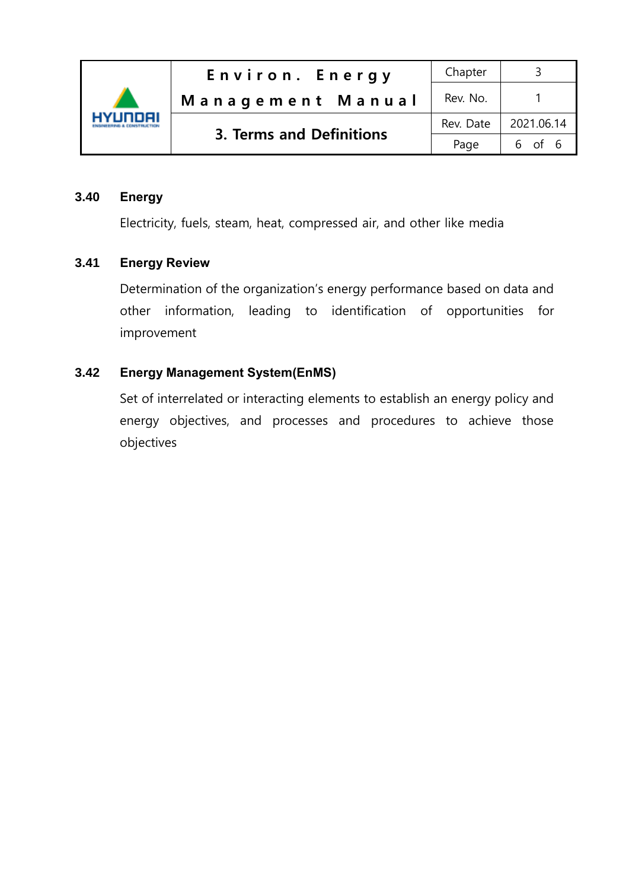

#### **3.40 Energy**

Electricity, fuels, steam, heat, compressed air, and other like media

#### **3.41 Energy Review**

Determination of the organization's energy performance based on data and other information, leading to identification of opportunities for improvement

#### **3.42 Energy Management System(EnMS)**

Set of interrelated or interacting elements to establish an energy policy and energy objectives, and processes and procedures to achieve those objectives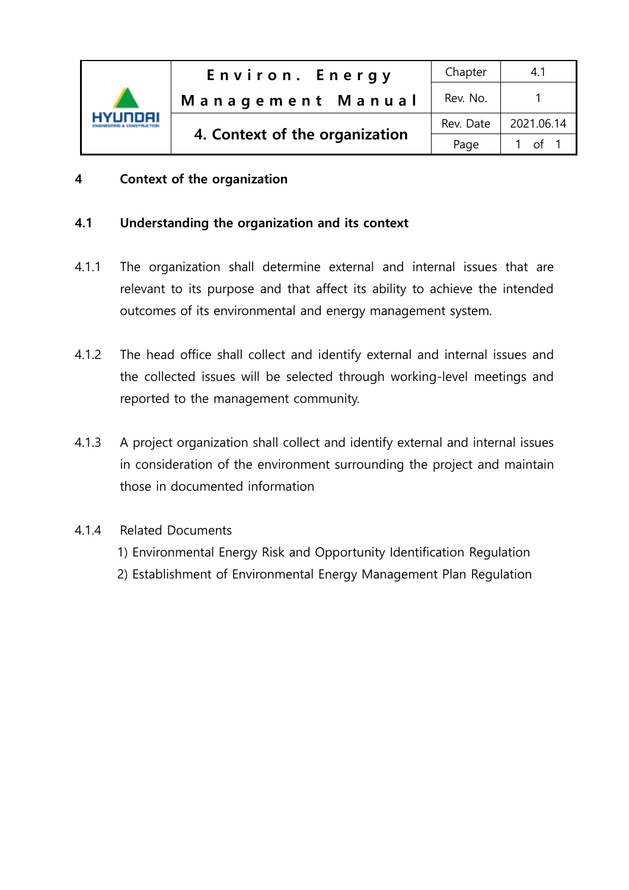

# 4 Context of the organization

## 4.1 Understanding the organization and its context

- 4.1.1 The organization shall determine external and internal issues that are relevant to its purpose and that affect its ability to achieve the intended outcomes of its environmental and energy management system.
- 4.1.2 The head office shall collect and identify external and internal issues and the collected issues will be selected through working-level meetings and reported to the management community.
- 4.1.3 A project organization shall collect and identify external and internal issues in consideration of the environment surrounding the project and maintain those in documented information
- 4.1.4 Related Documents
	- 1) Environmental Energy Risk and Opportunity Identification Regulation
	- 2) Establishment of Environmental Energy Management Plan Regulation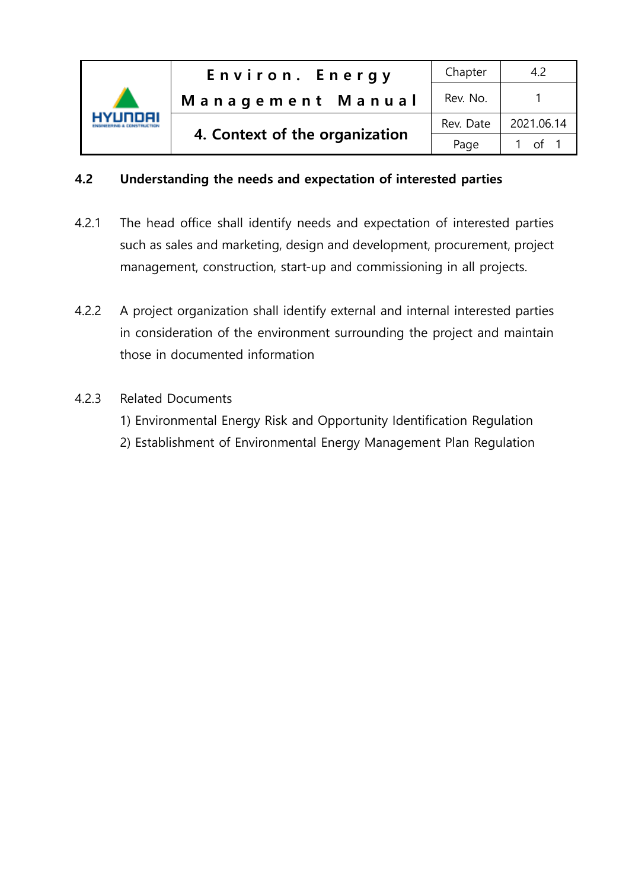

## 4.2 Understanding the needs and expectation of interested parties

- 4.2.1 The head office shall identify needs and expectation of interested parties such as sales and marketing, design and development, procurement, project management, construction, start-up and commissioning in all projects.
- 4.2.2 A project organization shall identify external and internal interested parties in consideration of the environment surrounding the project and maintain those in documented information
- 4.2.3 Related Documents
	- 1) Environmental Energy Risk and Opportunity Identification Regulation
	- 2) Establishment of Environmental Energy Management Plan Regulation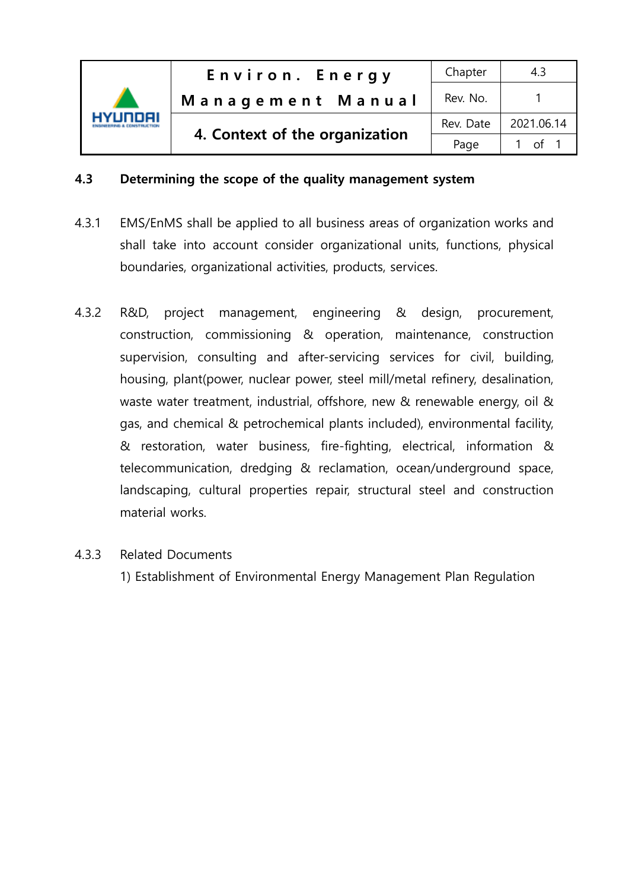

## 4.3 Determining the scope of the quality management system

- 4.3.1 EMS/EnMS shall be applied to all business areas of organization works and shall take into account consider organizational units, functions, physical boundaries, organizational activities, products, services.
- 4.3.2 R&D, project management, engineering & design, procurement, construction, commissioning & operation, maintenance, construction supervision, consulting and after-servicing services for civil, building, housing, plant(power, nuclear power, steel mill/metal refinery, desalination, waste water treatment, industrial, offshore, new & renewable energy, oil & gas, and chemical & petrochemical plants included), environmental facility, & restoration, water business, fire-fighting, electrical, information & telecommunication, dredging & reclamation, ocean/underground space, landscaping, cultural properties repair, structural steel and construction material works.

## 4.3.3 Related Documents

1) Establishment of Environmental Energy Management Plan Regulation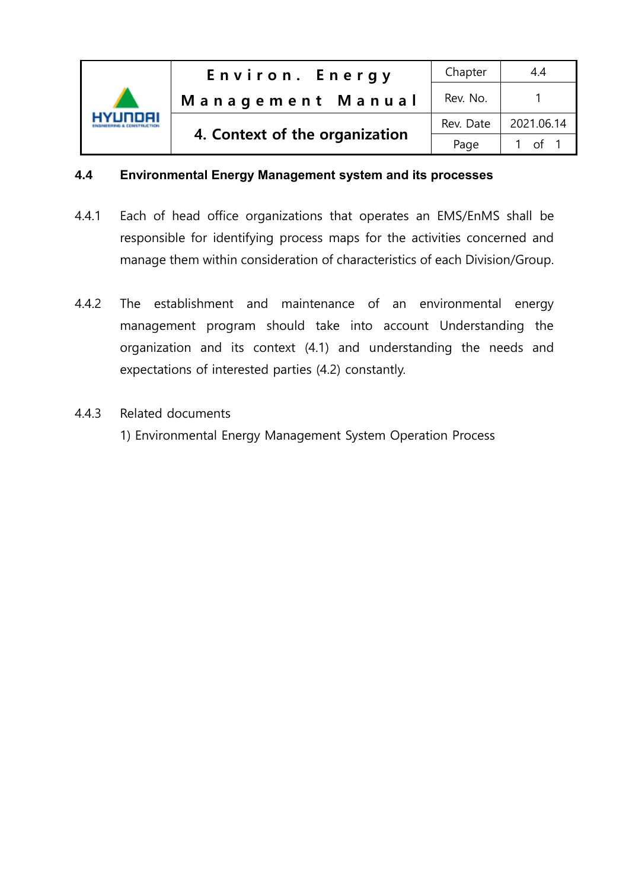

#### **4.4 Environmental Energy Management system and its processes**

- 4.4.1 Each of head office organizations that operates an EMS/EnMS shall be responsible for identifying process maps for the activities concerned and manage them within consideration of characteristics of each Division/Group.
- 4.4.2 The establishment and maintenance of an environmental energy management program should take into account Understanding the organization and its context (4.1) and understanding the needs and expectations of interested parties (4.2) constantly.
- 4.4.3 Related documents
	- 1) Environmental Energy Management System Operation Process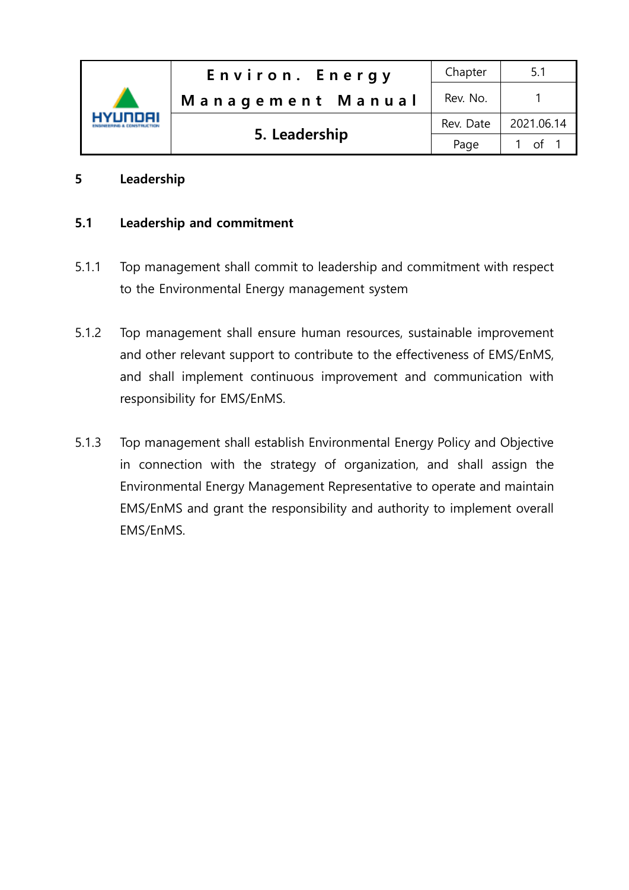

## 5 Leadership

## 5.1 Leadership and commitment

- 5.1.1 Top management shall commit to leadership and commitment with respect to the Environmental Energy management system
- 5.1.2 Top management shall ensure human resources, sustainable improvement and other relevant support to contribute to the effectiveness of EMS/EnMS, and shall implement continuous improvement and communication with responsibility for EMS/EnMS.
- 5.1.3 Top management shall establish Environmental Energy Policy and Objective in connection with the strategy of organization, and shall assign the Environmental Energy Management Representative to operate and maintain EMS/EnMS and grant the responsibility and authority to implement overall EMS/EnMS.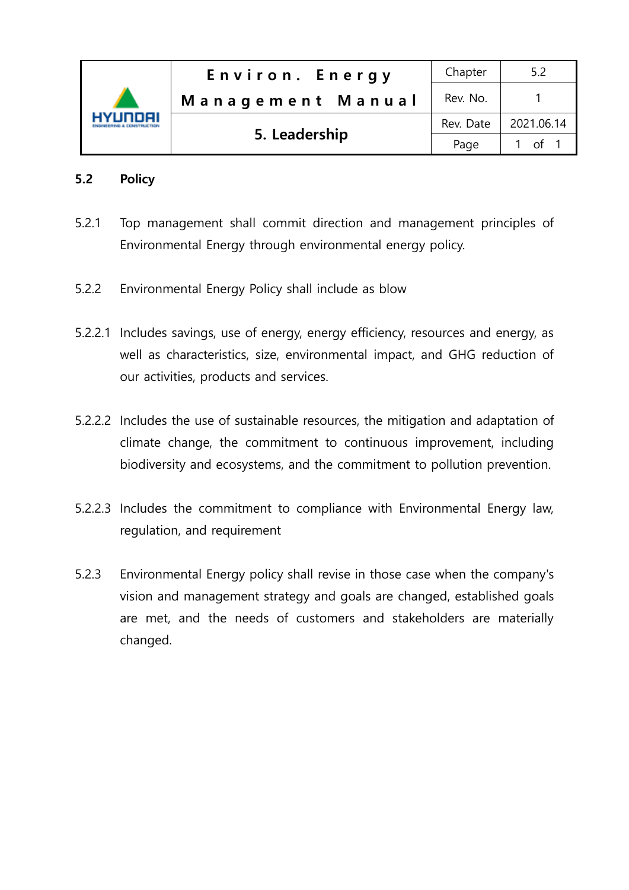

## 5.2 Policy

- 5.2.1 Top management shall commit direction and management principles of Environmental Energy through environmental energy policy.
- 5.2.2 Environmental Energy Policy shall include as blow
- 5.2.2.1 Includes savings, use of energy, energy efficiency, resources and energy, as well as characteristics, size, environmental impact, and GHG reduction of our activities, products and services.
- 5.2.2.2 Includes the use of sustainable resources, the mitigation and adaptation of climate change, the commitment to continuous improvement, including biodiversity and ecosystems, and the commitment to pollution prevention.
- 5.2.2.3 Includes the commitment to compliance with Environmental Energy law, regulation, and requirement
- 5.2.3 Environmental Energy policy shall revise in those case when the company's vision and management strategy and goals are changed, established goals are met, and the needs of customers and stakeholders are materially changed.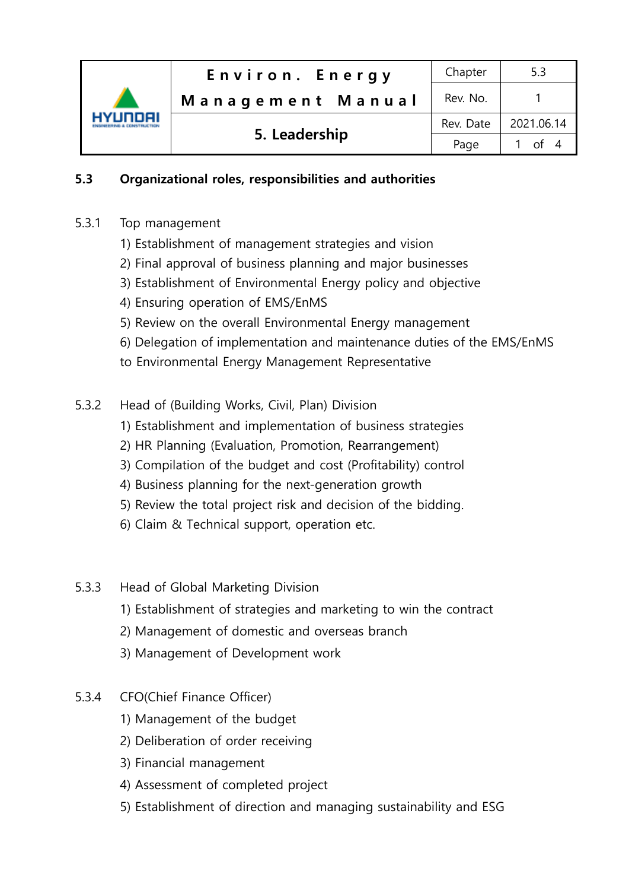| <b>HYUNDAI</b> | Environ. Energy   | Chapter   | 5.3         |
|----------------|-------------------|-----------|-------------|
|                | Management Manual | Rev. No.  |             |
|                | 5. Leadership     | Rev. Date | 2021.06.14  |
|                |                   | Page      | $\int$ of 4 |

# 5.3 Organizational roles, responsibilities and authorities

- 5.3.1 Top management
	- 1) Establishment of management strategies and vision
	- 2) Final approval of business planning and major businesses
	- 3) Establishment of Environmental Energy policy and objective
	- 4) Ensuring operation of EMS/EnMS
	- 5) Review on the overall Environmental Energy management
	- 6) Delegation of implementation and maintenance duties of the EMS/EnMS
	- to Environmental Energy Management Representative
- 5.3.2 Head of (Building Works, Civil, Plan) Division
	- 1) Establishment and implementation of business strategies
	- 2) HR Planning (Evaluation, Promotion, Rearrangement)
	- 3) Compilation of the budget and cost (Profitability) control
	- 4) Business planning for the next-generation growth
	- 5) Review the total project risk and decision of the bidding.
	- 6) Claim & Technical support, operation etc.
- 5.3.3 Head of Global Marketing Division
	- 1) Establishment of strategies and marketing to win the contract
	- 2) Management of domestic and overseas branch
	- 3) Management of Development work
- 5.3.4 CFO(Chief Finance Officer)
	- 1) Management of the budget
	- 2) Deliberation of order receiving
	- 3) Financial management
	- 4) Assessment of completed project
	- 5) Establishment of direction and managing sustainability and ESG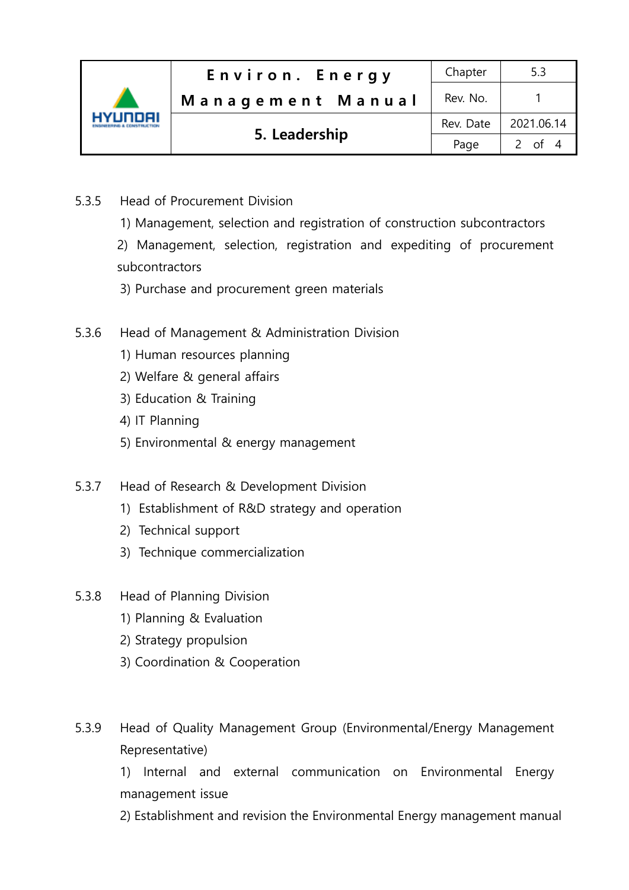| 7 INNEIL | Environ. Energy   | Chapter   | 5.3        |
|----------|-------------------|-----------|------------|
|          | Management Manual | Rev. No.  |            |
|          | 5. Leadership     | Rev. Date | 2021.06.14 |
|          |                   | Page      | 2 of 4     |

- 5.3.5 Head of Procurement Division
	- 1) Management, selection and registration of construction subcontractors

2) Management, selection, registration and expediting of procurement subcontractors

- 3) Purchase and procurement green materials
- 5.3.6 Head of Management & Administration Division
	- 1) Human resources planning
	- 2) Welfare & general affairs
	- 3) Education & Training
	- 4) IT Planning
	- 5) Environmental & energy management
- 5.3.7 Head of Research & Development Division
	- 1) Establishment of R&D strategy and operation
	- 2) Technical support
	- 3) Technique commercialization
- 5.3.8 Head of Planning Division
	- 1) Planning & Evaluation
	- 2) Strategy propulsion
	- 3) Coordination & Cooperation
- 5.3.9 Head of Quality Management Group (Environmental/Energy Management Representative)

1) Internal and external communication on Environmental Energy management issue

2) Establishment and revision the Environmental Energy management manual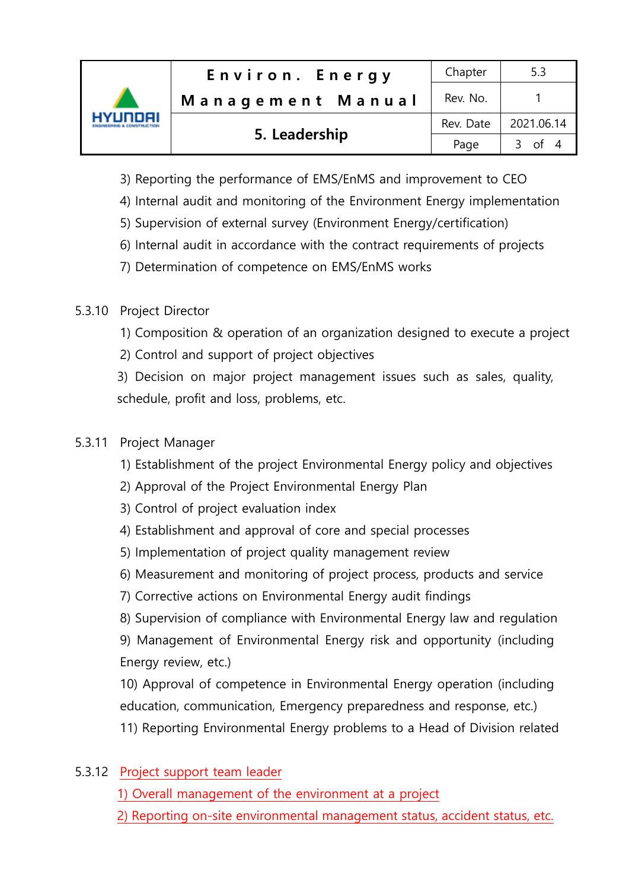| HYUNDAI | Environ. Energy   | Chapter   | 5.3        |
|---------|-------------------|-----------|------------|
|         | Management Manual | Rev. No.  |            |
|         | 5. Leadership     | Rev. Date | 2021.06.14 |
|         |                   | Page      | 3 of 4     |

- 3) Reporting the performance of EMS/EnMS and improvement to CEO
- 4) Internal audit and monitoring of the Environment Energy implementation
- 5) Supervision of external survey (Environment Energy/certification)
- 6) Internal audit in accordance with the contract requirements of projects
- 7) Determination of competence on EMS/EnMS works

# 5.3.10 Project Director

- 1) Composition & operation of an organization designed to execute a project
- 2) Control and support of project objectives

3) Decision on major project management issues such as sales, quality, schedule, profit and loss, problems, etc.

# 5.3.11 Project Manager

- 1) Establishment of the project Environmental Energy policy and objectives
- 2) Approval of the Project Environmental Energy Plan
- 3) Control of project evaluation index
- 4) Establishment and approval of core and special processes
- 5) Implementation of project quality management review
- 6) Measurement and monitoring of project process, products and service
- 7) Corrective actions on Environmental Energy audit findings
- 8) Supervision of compliance with Environmental Energy law and regulation

9) Management of Environmental Energy risk and opportunity (including Energy review, etc.)

10) Approval of competence in Environmental Energy operation (including education, communication, Emergency preparedness and response, etc.)

- 11) Reporting Environmental Energy problems to a Head of Division related
- 5.3.12 Project support team leader
	- 1) Overall management of the environment at a project
	- 2) Reporting on-site environmental management status, accident status, etc.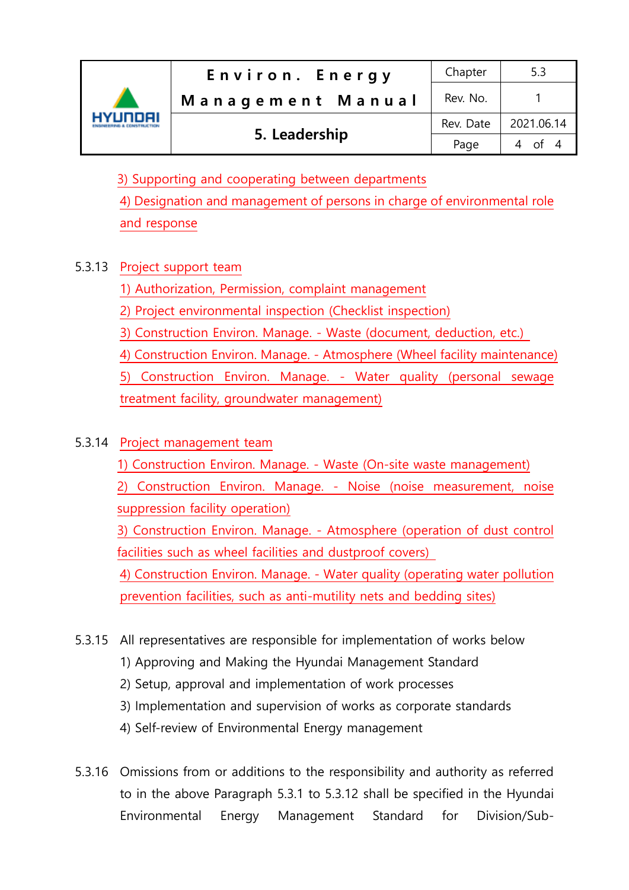| HYUNDAI | Environ. Energy   | Chapter   | 5.3                  |
|---------|-------------------|-----------|----------------------|
|         | Management Manual | Rev. No.  |                      |
|         | 5. Leadership     | Rev. Date | 2021.06.14           |
|         |                   | Page      | $\Delta$ of $\Delta$ |

3) Supporting and cooperating between departments

4) Designation and management of persons in charge of environmental role and response

# 5.3.13 Project support team

1) Authorization, Permission, complaint management

2) Project environmental inspection (Checklist inspection)

3) Construction Environ. Manage. - Waste (document, deduction, etc.)

4) Construction Environ. Manage. - Atmosphere (Wheel facility maintenance) 5) Construction Environ. Manage. - Water quality (personal sewage treatment facility, groundwater management)

# 5.3.14 Project management team

1) Construction Environ. Manage. - Waste (On-site waste management)

2) Construction Environ. Manage. - Noise (noise measurement, noise suppression facility operation)

3) Construction Environ. Manage. - Atmosphere (operation of dust control facilities such as wheel facilities and dustproof covers)

4) Construction Environ. Manage. - Water quality (operating water pollution prevention facilities, such as anti-mutility nets and bedding sites)

# 5.3.15 All representatives are responsible for implementation of works below

- 1) Approving and Making the Hyundai Management Standard
- 2) Setup, approval and implementation of work processes
- 3) Implementation and supervision of works as corporate standards
- 4) Self-review of Environmental Energy management
- 5.3.16 Omissions from or additions to the responsibility and authority as referred to in the above Paragraph 5.3.1 to 5.3.12 shall be specified in the Hyundai Environmental Energy Management Standard for Division/Sub-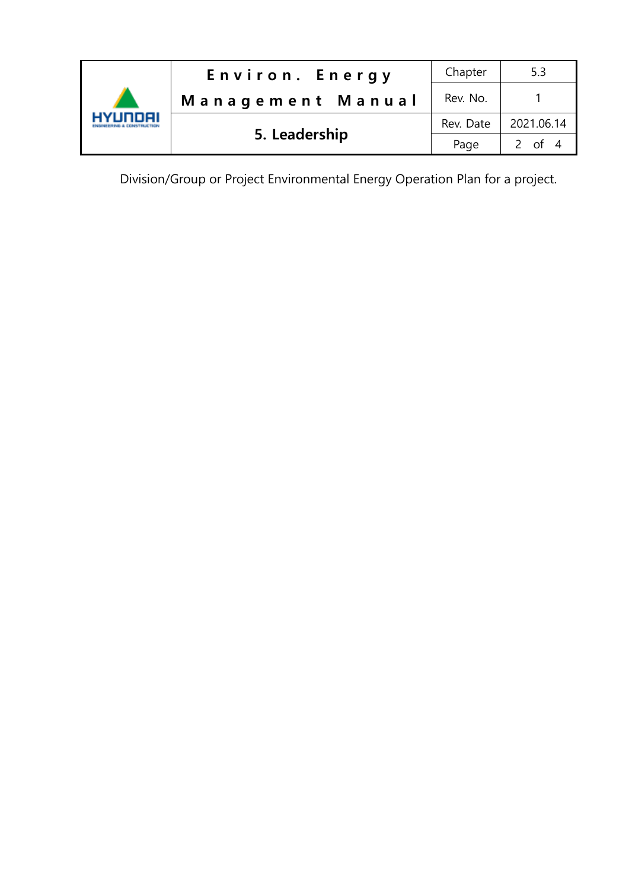

Division/Group or Project Environmental Energy Operation Plan for a project.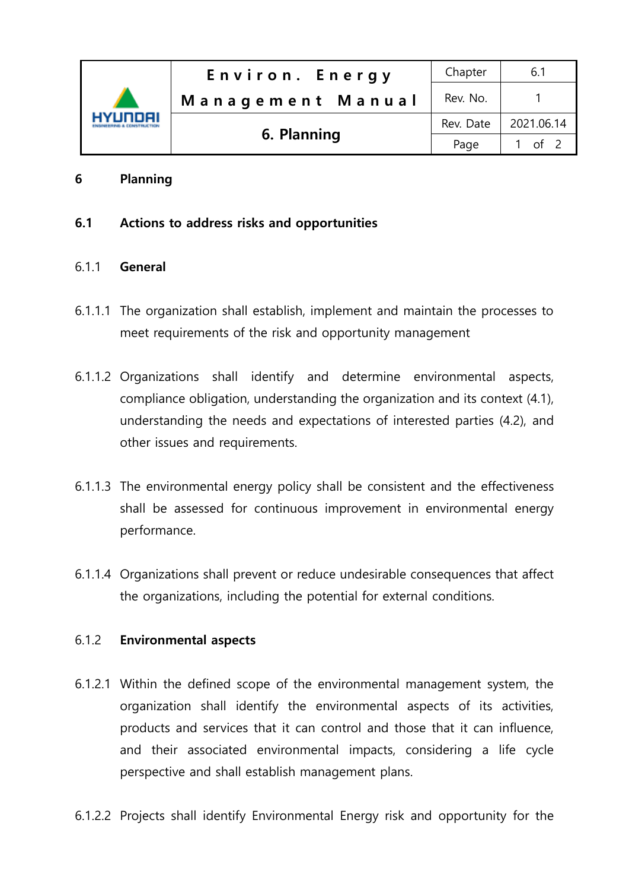| HYUNDAI | Environ. Energy   | Chapter   | 6.1         |
|---------|-------------------|-----------|-------------|
|         | Management Manual | Rev. No.  |             |
|         | 6. Planning       | Rev. Date | 2021.06.14  |
|         |                   | Page      | $\int$ of 2 |

## 6 Planning

## 6.1 Actions to address risks and opportunities

#### 6.1.1 General

- 6.1.1.1 The organization shall establish, implement and maintain the processes to meet requirements of the risk and opportunity management
- 6.1.1.2 Organizations shall identify and determine environmental aspects, compliance obligation, understanding the organization and its context (4.1), understanding the needs and expectations of interested parties (4.2), and other issues and requirements.
- 6.1.1.3 The environmental energy policy shall be consistent and the effectiveness shall be assessed for continuous improvement in environmental energy performance.
- 6.1.1.4 Organizations shall prevent or reduce undesirable consequences that affect the organizations, including the potential for external conditions.

#### 6.1.2 Environmental aspects

- 6.1.2.1 Within the defined scope of the environmental management system, the organization shall identify the environmental aspects of its activities, products and services that it can control and those that it can influence, and their associated environmental impacts, considering a life cycle perspective and shall establish management plans.
- 6.1.2.2 Projects shall identify Environmental Energy risk and opportunity for the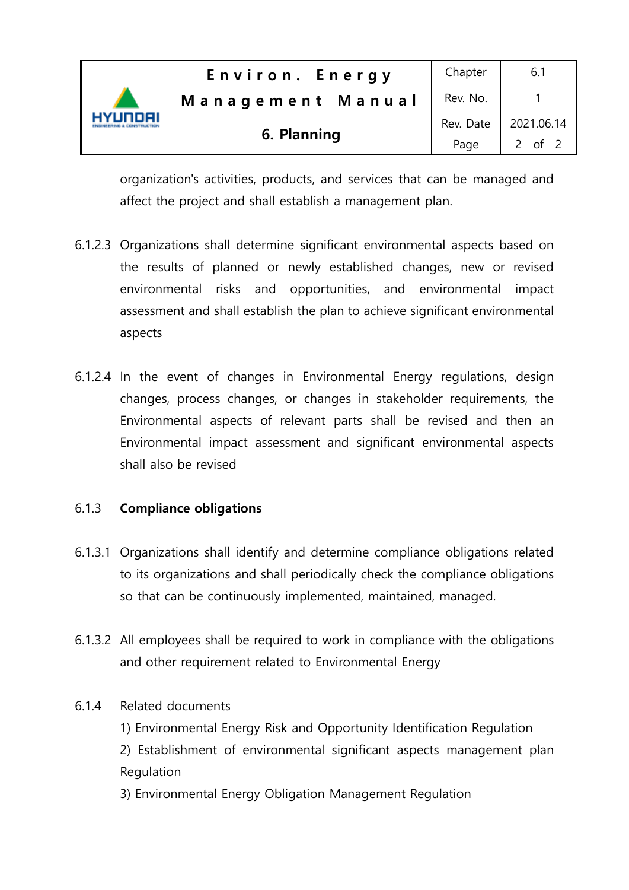| HYUNDAI | Environ. Energy   | Chapter   | 6.1        |
|---------|-------------------|-----------|------------|
|         | Management Manual | Rev. No.  |            |
|         | 6. Planning       | Rev. Date | 2021.06.14 |
|         |                   | Page      | 2 of 2     |

organization's activities, products, and services that can be managed and affect the project and shall establish a management plan.

- 6.1.2.3 Organizations shall determine significant environmental aspects based on the results of planned or newly established changes, new or revised environmental risks and opportunities, and environmental impact assessment and shall establish the plan to achieve significant environmental aspects
- 6.1.2.4 In the event of changes in Environmental Energy regulations, design changes, process changes, or changes in stakeholder requirements, the Environmental aspects of relevant parts shall be revised and then an Environmental impact assessment and significant environmental aspects shall also be revised

## 6.1.3 Compliance obligations

- 6.1.3.1 Organizations shall identify and determine compliance obligations related to its organizations and shall periodically check the compliance obligations so that can be continuously implemented, maintained, managed.
- 6.1.3.2 All employees shall be required to work in compliance with the obligations and other requirement related to Environmental Energy

#### 6.1.4 Related documents

- 1) Environmental Energy Risk and Opportunity Identification Regulation
- 2) Establishment of environmental significant aspects management plan Regulation
- 3) Environmental Energy Obligation Management Regulation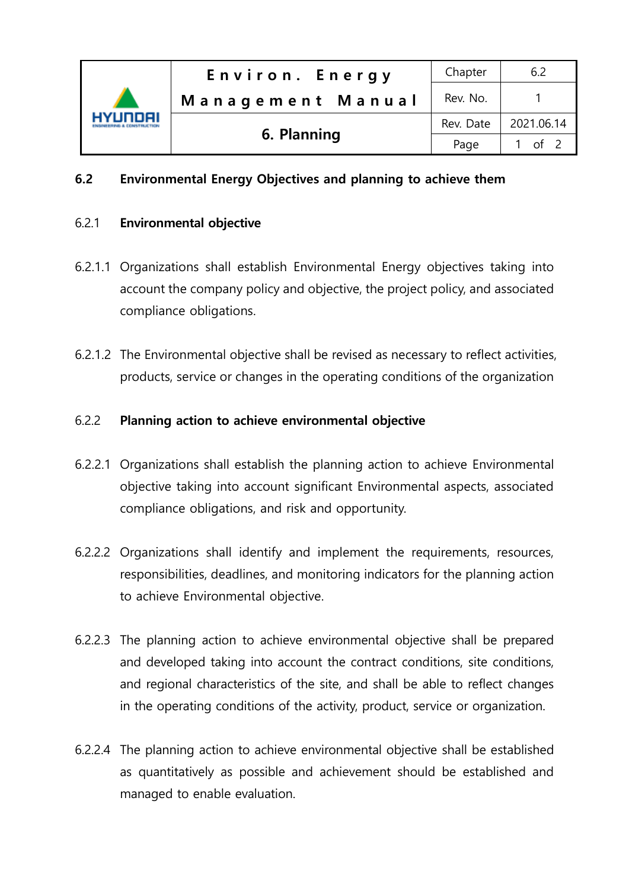

## 6.2 Environmental Energy Objectives and planning to achieve them

#### 6.2.1 Environmental objective

- 6.2.1.1 Organizations shall establish Environmental Energy objectives taking into account the company policy and objective, the project policy, and associated compliance obligations.
- 6.2.1.2 The Environmental objective shall be revised as necessary to reflect activities, products, service or changes in the operating conditions of the organization

#### 6.2.2 Planning action to achieve environmental objective

- 6.2.2.1 Organizations shall establish the planning action to achieve Environmental objective taking into account significant Environmental aspects, associated compliance obligations, and risk and opportunity.
- 6.2.2.2 Organizations shall identify and implement the requirements, resources, responsibilities, deadlines, and monitoring indicators for the planning action to achieve Environmental objective.
- 6.2.2.3 The planning action to achieve environmental objective shall be prepared and developed taking into account the contract conditions, site conditions, and regional characteristics of the site, and shall be able to reflect changes in the operating conditions of the activity, product, service or organization.
- 6.2.2.4 The planning action to achieve environmental objective shall be established as quantitatively as possible and achievement should be established and managed to enable evaluation.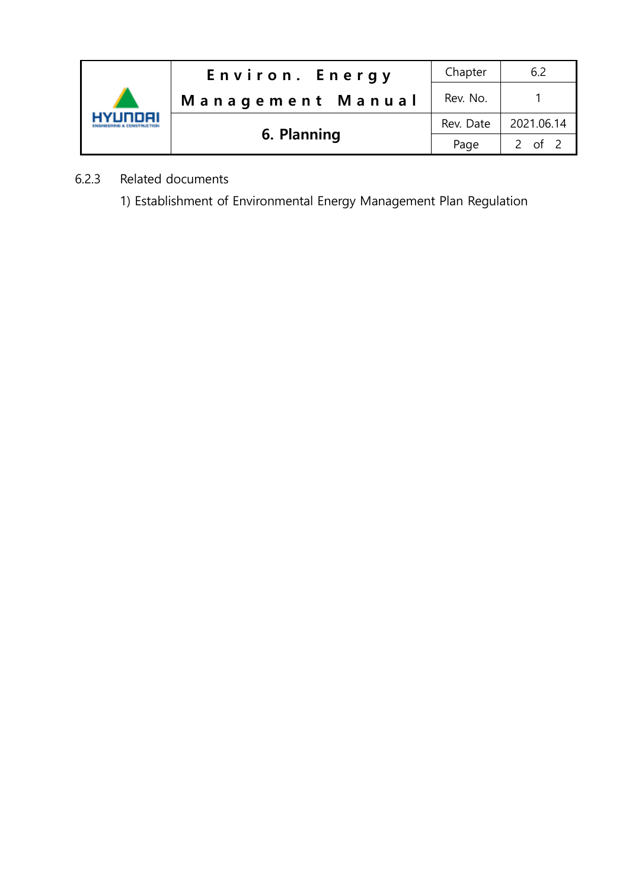

- 6.2.3 Related documents
	- 1) Establishment of Environmental Energy Management Plan Regulation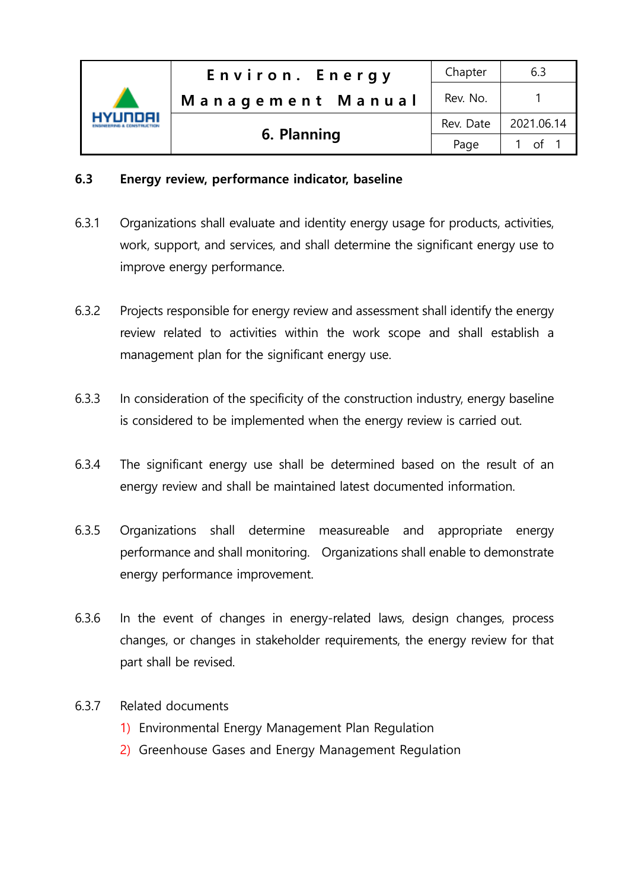| vi innai | Environ. Energy   | Chapter   | 6.3        |
|----------|-------------------|-----------|------------|
|          | Management Manual | Rev. No.  |            |
|          |                   | Rev. Date | 2021.06.14 |
|          | 6. Planning       | Page      |            |

## 6.3 Energy review, performance indicator, baseline

- 6.3.1 Organizations shall evaluate and identity energy usage for products, activities, work, support, and services, and shall determine the significant energy use to improve energy performance.
- 6.3.2 Projects responsible for energy review and assessment shall identify the energy review related to activities within the work scope and shall establish a management plan for the significant energy use.
- 6.3.3 In consideration of the specificity of the construction industry, energy baseline is considered to be implemented when the energy review is carried out.
- 6.3.4 The significant energy use shall be determined based on the result of an energy review and shall be maintained latest documented information.
- 6.3.5 Organizations shall determine measureable and appropriate energy performance and shall monitoring. Organizations shall enable to demonstrate energy performance improvement.
- 6.3.6 In the event of changes in energy-related laws, design changes, process changes, or changes in stakeholder requirements, the energy review for that part shall be revised.

#### 6.3.7 Related documents

- 1) Environmental Energy Management Plan Regulation
- 2) Greenhouse Gases and Energy Management Regulation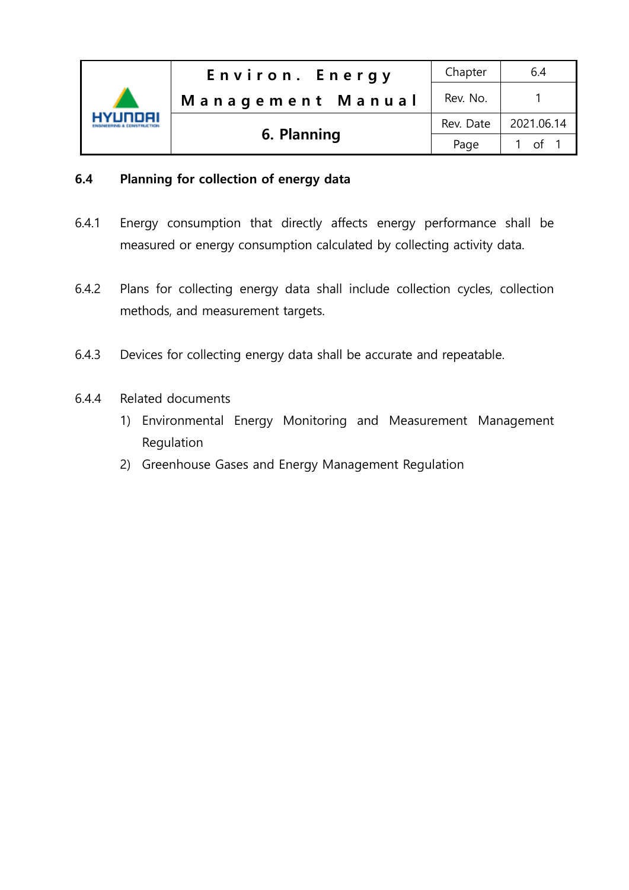| HYLINNAI | Environ. Energy   | Chapter   | 6.4        |
|----------|-------------------|-----------|------------|
|          | Management Manual | Rev. No.  |            |
|          |                   | Rev. Date | 2021.06.14 |
|          | 6. Planning       | Page      |            |

# 6.4 Planning for collection of energy data

- 6.4.1 Energy consumption that directly affects energy performance shall be measured or energy consumption calculated by collecting activity data.
- 6.4.2 Plans for collecting energy data shall include collection cycles, collection methods, and measurement targets.
- 6.4.3 Devices for collecting energy data shall be accurate and repeatable.
- 6.4.4 Related documents
	- 1) Environmental Energy Monitoring and Measurement Management Regulation
	- 2) Greenhouse Gases and Energy Management Regulation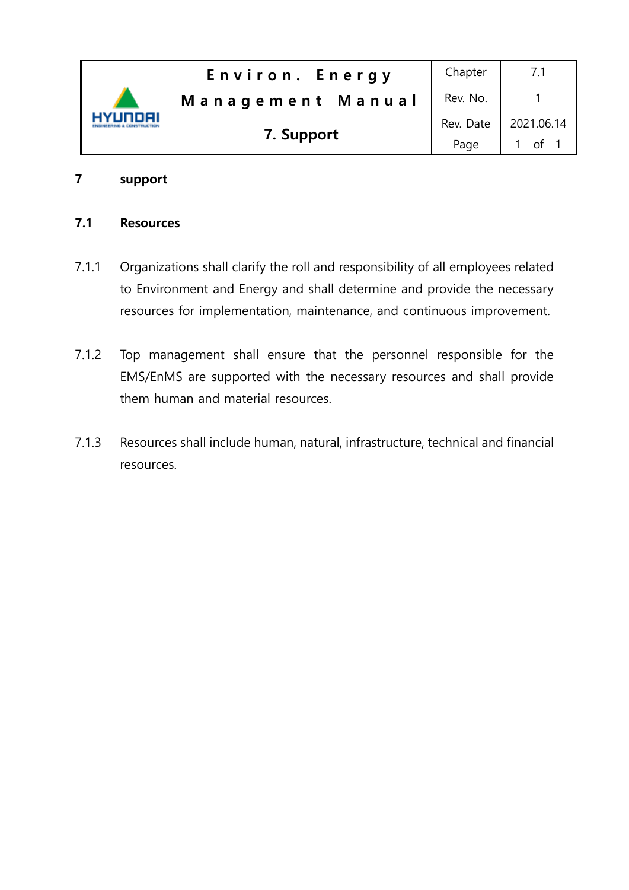| HYLINNAI | Environ. Energy   | Chapter   |            |
|----------|-------------------|-----------|------------|
|          | Management Manual | Rev. No.  |            |
|          |                   | Rev. Date | 2021.06.14 |
|          | 7. Support        | Page      | $\cap$ f   |

## 7 support

## 7.1 Resources

- 7.1.1 Organizations shall clarify the roll and responsibility of all employees related to Environment and Energy and shall determine and provide the necessary resources for implementation, maintenance, and continuous improvement.
- 7.1.2 Top management shall ensure that the personnel responsible for the EMS/EnMS are supported with the necessary resources and shall provide them human and material resources.
- 7.1.3 Resources shall include human, natural, infrastructure, technical and financial resources.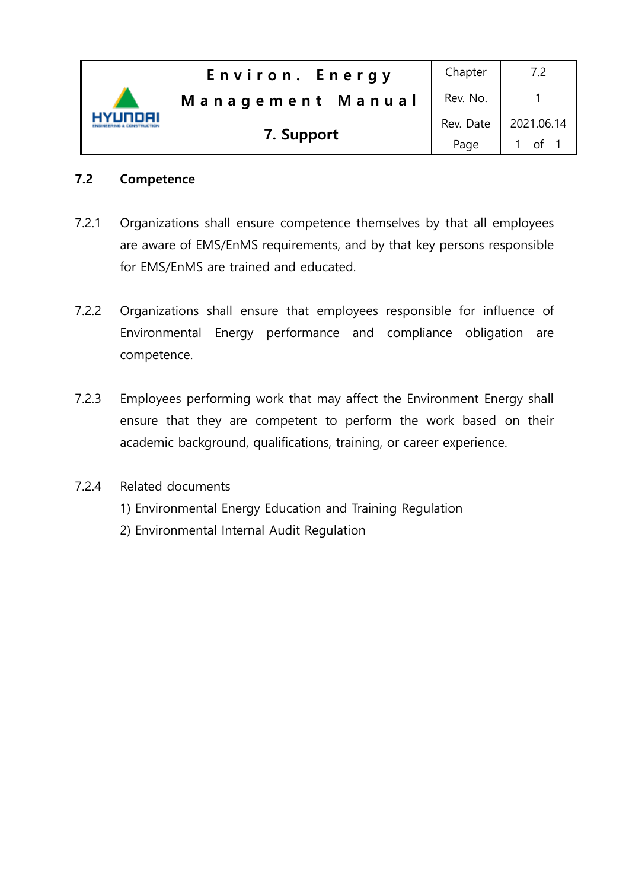| IVI INNAI | Environ. Energy   | Chapter   |            |
|-----------|-------------------|-----------|------------|
|           | Management Manual | Rev. No.  |            |
|           | 7. Support        | Rev. Date | 2021.06.14 |
|           |                   | Page      | of .       |

## 7.2 Competence

- 7.2.1 Organizations shall ensure competence themselves by that all employees are aware of EMS/EnMS requirements, and by that key persons responsible for EMS/EnMS are trained and educated.
- 7.2.2 Organizations shall ensure that employees responsible for influence of Environmental Energy performance and compliance obligation are competence.
- 7.2.3 Employees performing work that may affect the Environment Energy shall ensure that they are competent to perform the work based on their academic background, qualifications, training, or career experience.

## 7.2.4 Related documents

- 1) Environmental Energy Education and Training Regulation
- 2) Environmental Internal Audit Regulation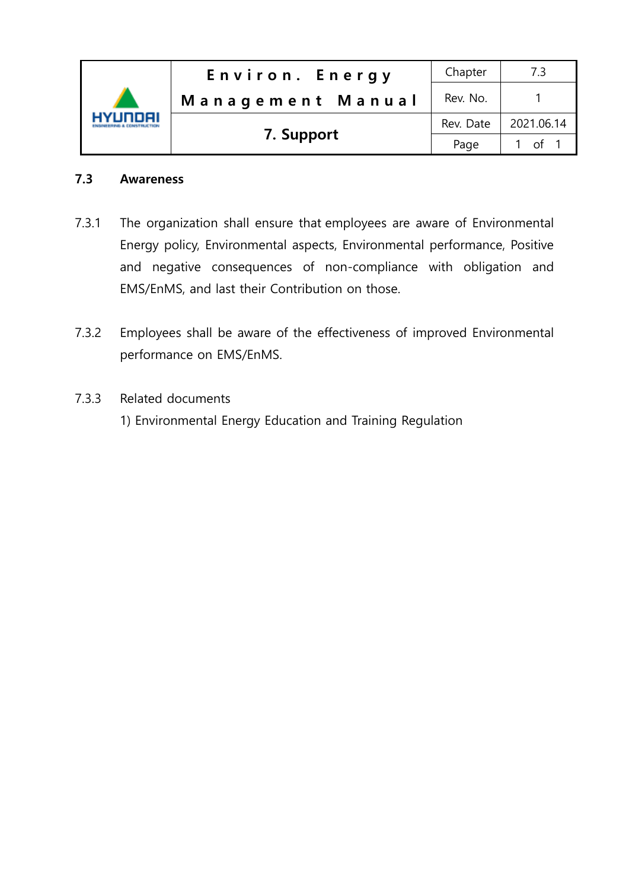| HYLINNAI | Environ. Energy   | Chapter   |            |
|----------|-------------------|-----------|------------|
|          | Management Manual | Rev. No.  |            |
|          | 7. Support        | Rev. Date | 2021.06.14 |
|          |                   | Page      | $\int$ 1   |

## 7.3 Awareness

- 7.3.1 The organization shall ensure that employees are aware of Environmental Energy policy, Environmental aspects, Environmental performance, Positive and negative consequences of non-compliance with obligation and EMS/EnMS, and last their Contribution on those.
- 7.3.2 Employees shall be aware of the effectiveness of improved Environmental performance on EMS/EnMS.
- 7.3.3 Related documents 1) Environmental Energy Education and Training Regulation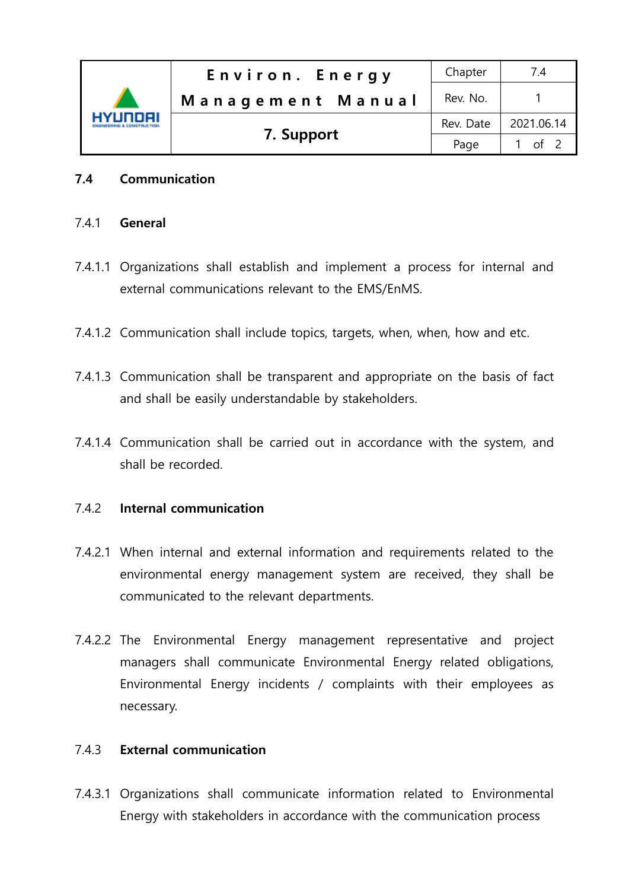| VI INNEIL | Environ. Energy   | Chapter   | 7.4         |
|-----------|-------------------|-----------|-------------|
|           | Management Manual | Rev. No.  |             |
|           |                   | Rev. Date | 2021.06.14  |
|           | 7. Support        | Page      | $\int$ of 2 |

## 7.4 Communication

#### 741 General

- 7.4.1.1 Organizations shall establish and implement a process for internal and external communications relevant to the EMS/EnMS.
- 7.4.1.2 Communication shall include topics, targets, when, when, how and etc.
- 7.4.1.3 Communication shall be transparent and appropriate on the basis of fact and shall be easily understandable by stakeholders.
- 7.4.1.4 Communication shall be carried out in accordance with the system, and shall be recorded.

#### 7.4.2 Internal communication

- 7.4.2.1 When internal and external information and requirements related to the environmental energy management system are received, they shall be communicated to the relevant departments.
- 7.4.2.2 The Environmental Energy management representative and project managers shall communicate Environmental Energy related obligations, Environmental Energy incidents / complaints with their employees as necessary.

#### 7.4.3 External communication

7.4.3.1 Organizations shall communicate information related to Environmental Energy with stakeholders in accordance with the communication process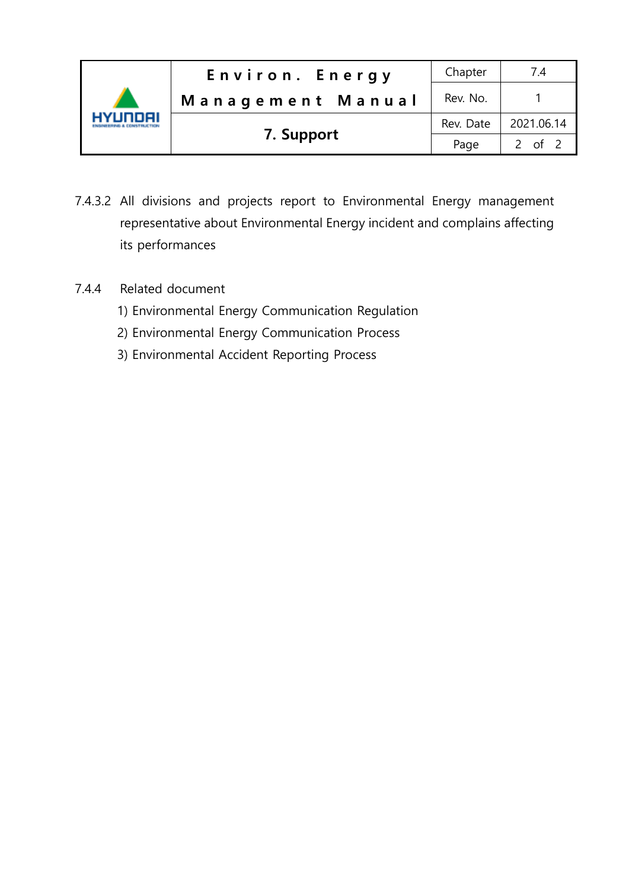|         | Environ. Energy   | Chapter   | 7.4        |
|---------|-------------------|-----------|------------|
|         | Management Manual | Rev. No.  |            |
| 7 INNAI |                   | Rev. Date | 2021.06.14 |
|         | 7. Support        | Page      | 2 of 2     |

- 7.4.3.2 All divisions and projects report to Environmental Energy management representative about Environmental Energy incident and complains affecting its performances
- 7.4.4 Related document
	- 1) Environmental Energy Communication Regulation
	- 2) Environmental Energy Communication Process
	- 3) Environmental Accident Reporting Process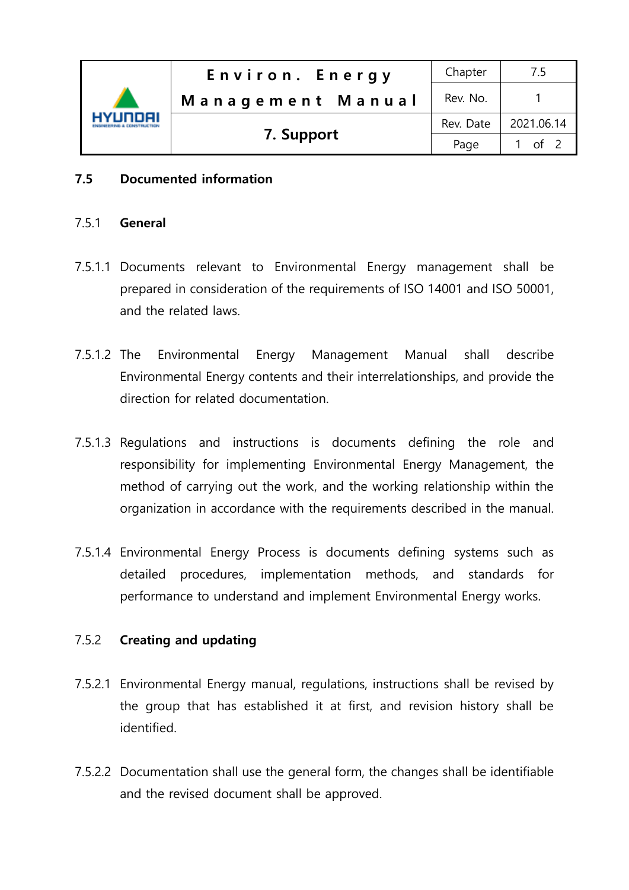

## 7.5 Documented information

#### 7.5.1 General

- 7.5.1.1 Documents relevant to Environmental Energy management shall be prepared in consideration of the requirements of ISO 14001 and ISO 50001, and the related laws.
- 7.5.1.2 The Environmental Energy Management Manual shall describe Environmental Energy contents and their interrelationships, and provide the direction for related documentation.
- 7.5.1.3 Regulations and instructions is documents defining the role and responsibility for implementing Environmental Energy Management, the method of carrying out the work, and the working relationship within the organization in accordance with the requirements described in the manual.
- 7.5.1.4 Environmental Energy Process is documents defining systems such as detailed procedures, implementation methods, and standards for performance to understand and implement Environmental Energy works.

#### 7.5.2 Creating and updating

- 7.5.2.1 Environmental Energy manual, regulations, instructions shall be revised by the group that has established it at first, and revision history shall be identified.
- 7.5.2.2 Documentation shall use the general form, the changes shall be identifiable and the revised document shall be approved.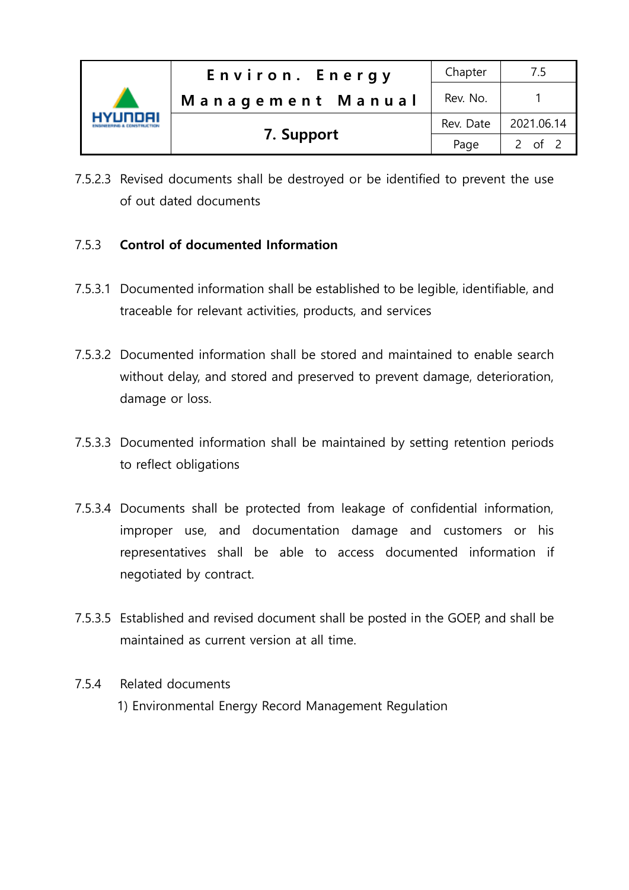| VIINNAI | Environ. Energy   | Chapter   |            |
|---------|-------------------|-----------|------------|
|         | Management Manual | Rev. No.  |            |
|         |                   | Rev. Date | 2021.06.14 |
|         | 7. Support        | Page      | 2 of $2$   |

7.5.2.3 Revised documents shall be destroyed or be identified to prevent the use of out dated documents

# 7.5.3 Control of documented Information

- 7.5.3.1 Documented information shall be established to be legible, identifiable, and traceable for relevant activities, products, and services
- 7.5.3.2 Documented information shall be stored and maintained to enable search without delay, and stored and preserved to prevent damage, deterioration, damage or loss.
- 7.5.3.3 Documented information shall be maintained by setting retention periods to reflect obligations
- 7.5.3.4 Documents shall be protected from leakage of confidential information, improper use, and documentation damage and customers or his representatives shall be able to access documented information if negotiated by contract.
- 7.5.3.5 Established and revised document shall be posted in the GOEP, and shall be maintained as current version at all time.

## 7.5.4 Related documents

1) Environmental Energy Record Management Regulation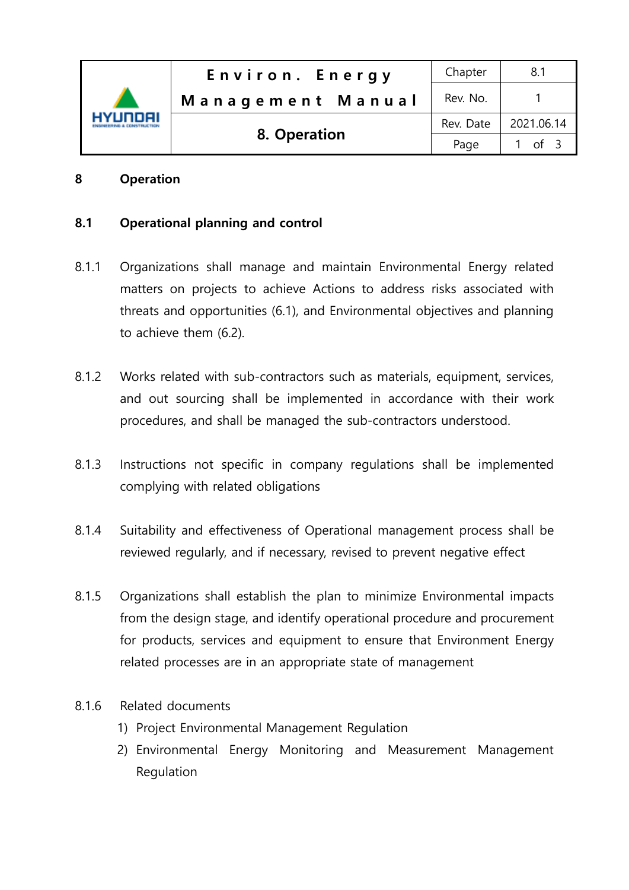

## 8 Operation

## 8.1 Operational planning and control

- 8.1.1 Organizations shall manage and maintain Environmental Energy related matters on projects to achieve Actions to address risks associated with threats and opportunities (6.1), and Environmental objectives and planning to achieve them (6.2).
- 8.1.2 Works related with sub-contractors such as materials, equipment, services, and out sourcing shall be implemented in accordance with their work procedures, and shall be managed the sub-contractors understood.
- 8.1.3 Instructions not specific in company regulations shall be implemented complying with related obligations
- 8.1.4 Suitability and effectiveness of Operational management process shall be reviewed regularly, and if necessary, revised to prevent negative effect
- 8.1.5 Organizations shall establish the plan to minimize Environmental impacts from the design stage, and identify operational procedure and procurement for products, services and equipment to ensure that Environment Energy related processes are in an appropriate state of management
- 8.1.6 Related documents
	- 1) Project Environmental Management Regulation
	- 2) Environmental Energy Monitoring and Measurement Management Regulation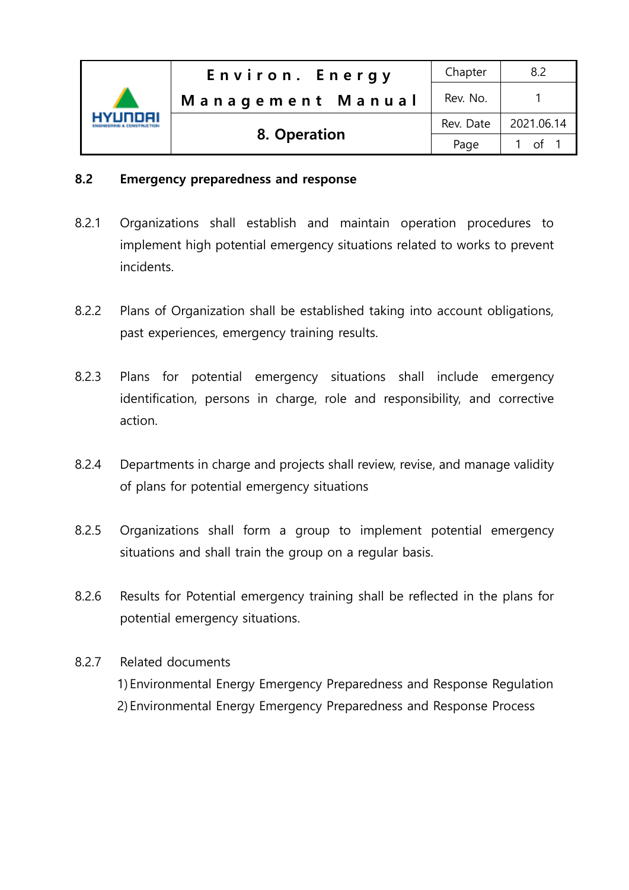|          | Environ. Energy   | Chapter   | 8.2        |
|----------|-------------------|-----------|------------|
|          | Management Manual | Rev. No.  |            |
| HYLINNAI |                   | Rev. Date | 2021.06.14 |
|          | 8. Operation      | Page      | $\int$ 1   |

## 8.2 Emergency preparedness and response

- 8.2.1 Organizations shall establish and maintain operation procedures to implement high potential emergency situations related to works to prevent incidents.
- 8.2.2 Plans of Organization shall be established taking into account obligations, past experiences, emergency training results.
- 8.2.3 Plans for potential emergency situations shall include emergency identification, persons in charge, role and responsibility, and corrective action.
- 8.2.4 Departments in charge and projects shall review, revise, and manage validity of plans for potential emergency situations
- 8.2.5 Organizations shall form a group to implement potential emergency situations and shall train the group on a regular basis.
- 8.2.6 Results for Potential emergency training shall be reflected in the plans for potential emergency situations.
- 8.2.7 Related documents 1) Environmental Energy Emergency Preparedness and Response Regulation 2) Environmental Energy Emergency Preparedness and Response Process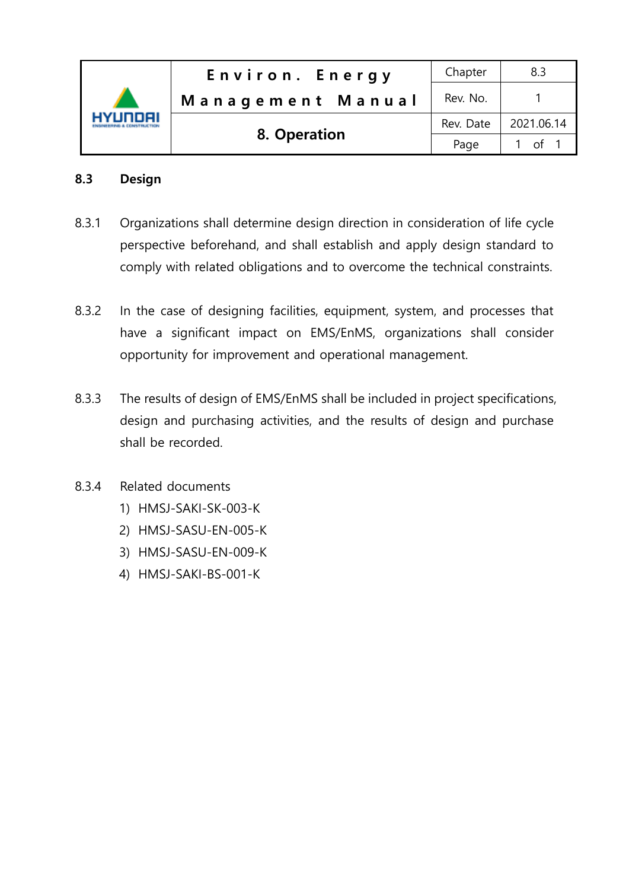

## 8.3 Design

- 8.3.1 Organizations shall determine design direction in consideration of life cycle perspective beforehand, and shall establish and apply design standard to comply with related obligations and to overcome the technical constraints.
- 8.3.2 In the case of designing facilities, equipment, system, and processes that have a significant impact on EMS/EnMS, organizations shall consider opportunity for improvement and operational management.
- 8.3.3 The results of design of EMS/EnMS shall be included in project specifications, design and purchasing activities, and the results of design and purchase shall be recorded.
- 8.3.4 Related documents
	- 1) HMSJ-SAKI-SK-003-K
	- 2) HMSJ-SASU-EN-005-K
	- 3) HMSJ-SASU-EN-009-K
	- 4) HMSJ-SAKI-BS-001-K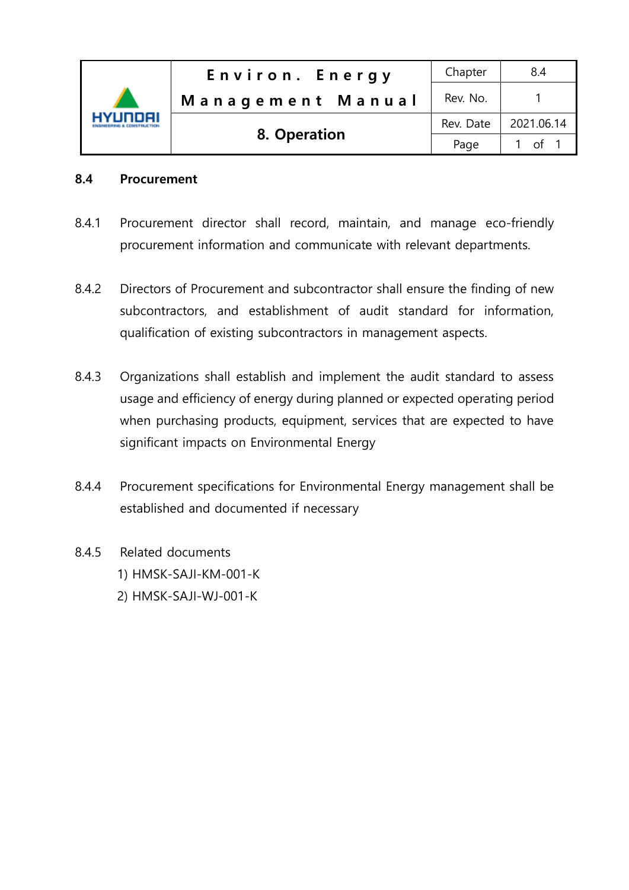| HYLINNAI | Environ. Energy   | Chapter   | 8.4        |
|----------|-------------------|-----------|------------|
|          | Management Manual | Rev. No.  |            |
|          |                   | Rev. Date | 2021.06.14 |
|          | 8. Operation      | Page      | . റf 1     |

## 8.4 Procurement

- 8.4.1 Procurement director shall record, maintain, and manage eco-friendly procurement information and communicate with relevant departments.
- 8.4.2 Directors of Procurement and subcontractor shall ensure the finding of new subcontractors, and establishment of audit standard for information, qualification of existing subcontractors in management aspects.
- 8.4.3 Organizations shall establish and implement the audit standard to assess usage and efficiency of energy during planned or expected operating period when purchasing products, equipment, services that are expected to have significant impacts on Environmental Energy
- 8.4.4 Procurement specifications for Environmental Energy management shall be established and documented if necessary
- 8.4.5 Related documents 1) HMSK-SAJI-KM-001-K 2) HMSK-SAJI-WJ-001-K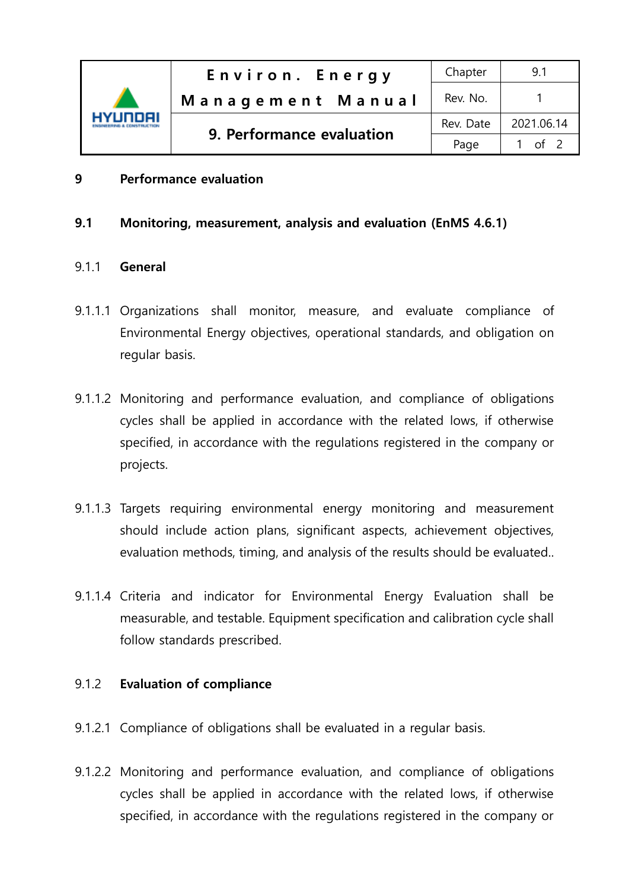

## 9 Performance evaluation

#### 9.1 Monitoring, measurement, analysis and evaluation (EnMS 4.6.1)

#### 9.1.1 General

- 9.1.1.1 Organizations shall monitor, measure, and evaluate compliance of Environmental Energy objectives, operational standards, and obligation on regular basis.
- 9.1.1.2 Monitoring and performance evaluation, and compliance of obligations cycles shall be applied in accordance with the related lows, if otherwise specified, in accordance with the regulations registered in the company or projects.
- 9.1.1.3 Targets requiring environmental energy monitoring and measurement should include action plans, significant aspects, achievement objectives, evaluation methods, timing, and analysis of the results should be evaluated..
- 9.1.1.4 Criteria and indicator for Environmental Energy Evaluation shall be measurable, and testable. Equipment specification and calibration cycle shall follow standards prescribed.

#### 9.1.2 Evaluation of compliance

- 9.1.2.1 Compliance of obligations shall be evaluated in a regular basis.
- 9.1.2.2 Monitoring and performance evaluation, and compliance of obligations cycles shall be applied in accordance with the related lows, if otherwise specified, in accordance with the regulations registered in the company or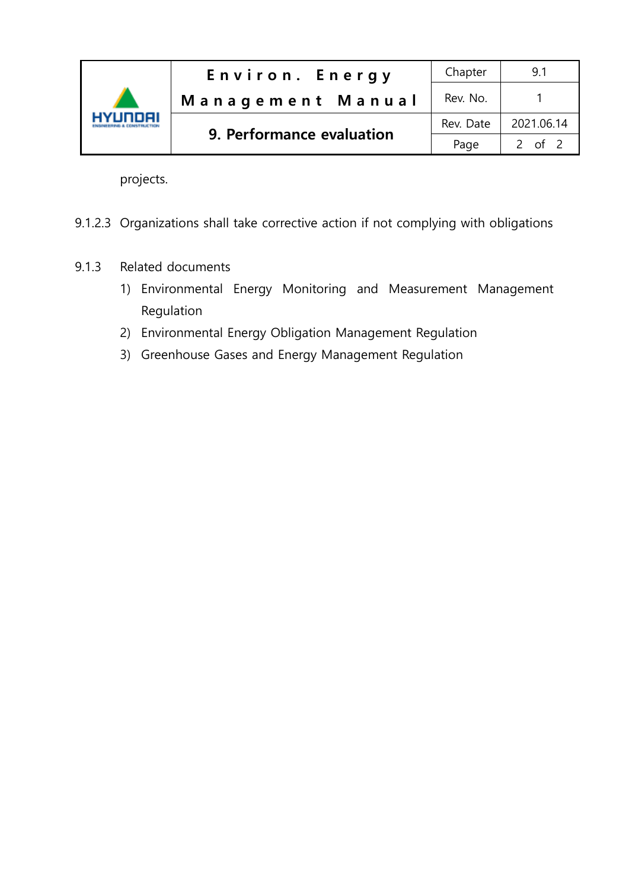

projects.

- 9.1.2.3 Organizations shall take corrective action if not complying with obligations
- 9.1.3 Related documents
	- 1) Environmental Energy Monitoring and Measurement Management Regulation
	- 2) Environmental Energy Obligation Management Regulation
	- 3) Greenhouse Gases and Energy Management Regulation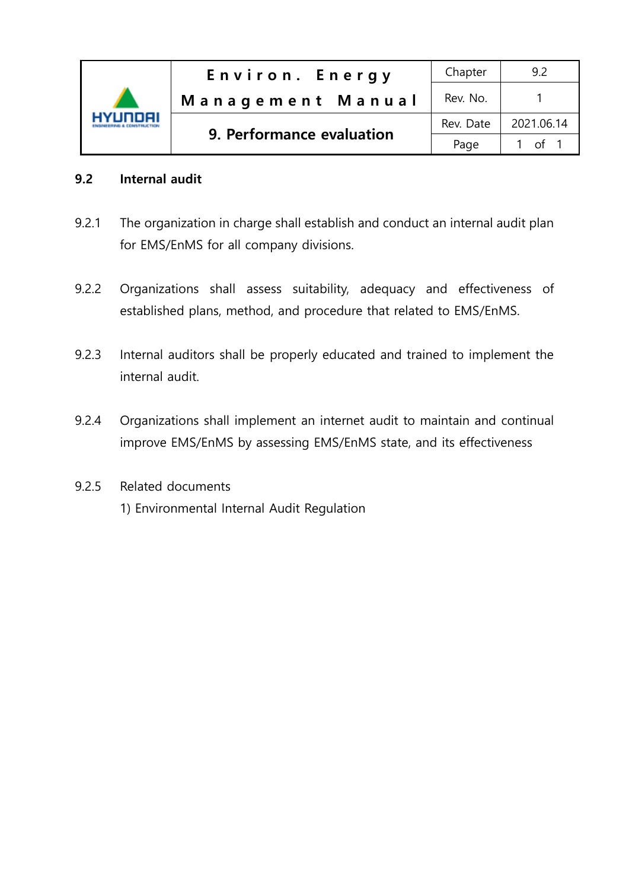

## 9.2 Internal audit

- 9.2.1 The organization in charge shall establish and conduct an internal audit plan for EMS/EnMS for all company divisions.
- 9.2.2 Organizations shall assess suitability, adequacy and effectiveness of established plans, method, and procedure that related to EMS/EnMS.
- 9.2.3 Internal auditors shall be properly educated and trained to implement the internal audit.
- 9.2.4 Organizations shall implement an internet audit to maintain and continual improve EMS/EnMS by assessing EMS/EnMS state, and its effectiveness
- 9.2.5 Related documents 1) Environmental Internal Audit Regulation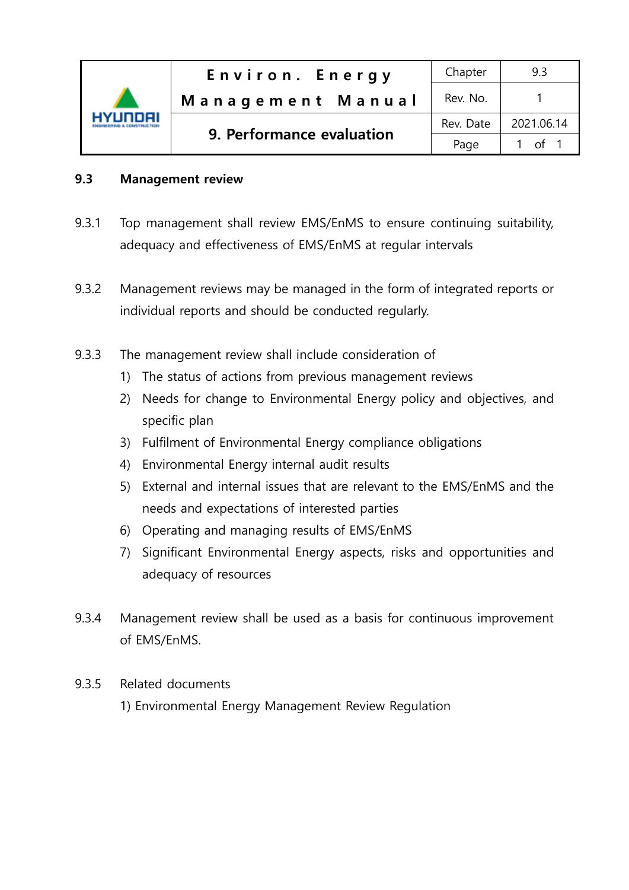

## 9.3 Management review

- 9.3.1 Top management shall review EMS/EnMS to ensure continuing suitability, adequacy and effectiveness of EMS/EnMS at regular intervals
- 9.3.2 Management reviews may be managed in the form of integrated reports or individual reports and should be conducted regularly.
- 9.3.3 The management review shall include consideration of
	- 1) The status of actions from previous management reviews
	- 2) Needs for change to Environmental Energy policy and objectives, and specific plan
	- 3) Fulfilment of Environmental Energy compliance obligations
	- 4) Environmental Energy internal audit results
	- 5) External and internal issues that are relevant to the EMS/EnMS and the needs and expectations of interested parties
	- 6) Operating and managing results of EMS/EnMS
	- 7) Significant Environmental Energy aspects, risks and opportunities and adequacy of resources
- 9.3.4 Management review shall be used as a basis for continuous improvement of EMS/EnMS.
- 9.3.5 Related documents
	- 1) Environmental Energy Management Review Regulation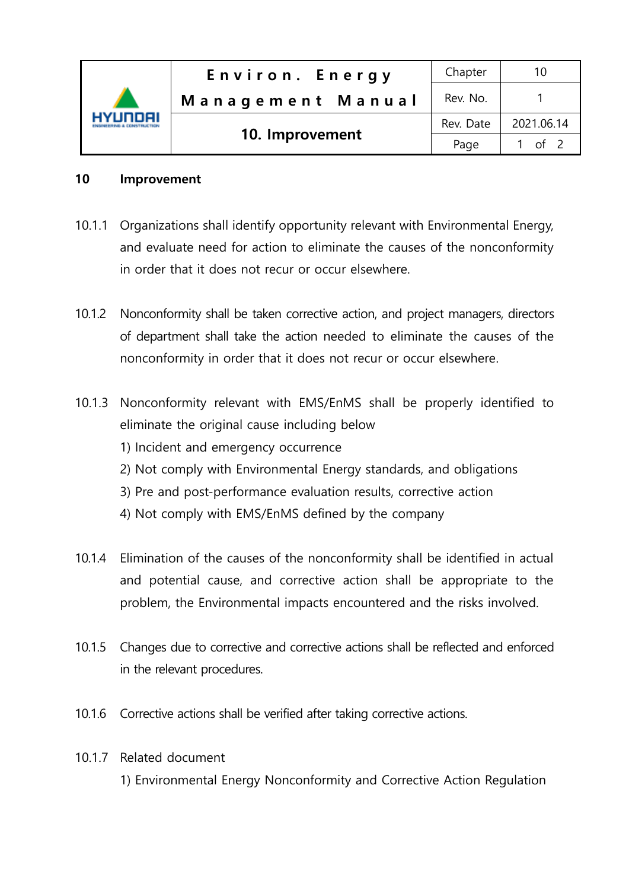| 'Unnai | Environ. Energy   | Chapter   | 10         |
|--------|-------------------|-----------|------------|
|        | Management Manual | Rev. No.  |            |
|        | 10. Improvement   | Rev. Date | 2021.06.14 |
|        |                   | Page      | 1 of 2     |

## 10 Improvement

- 10.1.1 Organizations shall identify opportunity relevant with Environmental Energy, and evaluate need for action to eliminate the causes of the nonconformity in order that it does not recur or occur elsewhere.
- 10.1.2 Nonconformity shall be taken corrective action, and project managers, directors of department shall take the action needed to eliminate the causes of the nonconformity in order that it does not recur or occur elsewhere.
- 10.1.3 Nonconformity relevant with EMS/EnMS shall be properly identified to eliminate the original cause including below 1) Incident and emergency occurrence 2) Not comply with Environmental Energy standards, and obligations 3) Pre and post-performance evaluation results, corrective action 4) Not comply with EMS/EnMS defined by the company
- 10.1.4 Elimination of the causes of the nonconformity shall be identified in actual and potential cause, and corrective action shall be appropriate to the problem, the Environmental impacts encountered and the risks involved.
- 10.1.5 Changes due to corrective and corrective actions shall be reflected and enforced in the relevant procedures.
- 10.1.6 Corrective actions shall be verified after taking corrective actions.
- 10.1.7 Related document

1) Environmental Energy Nonconformity and Corrective Action Regulation